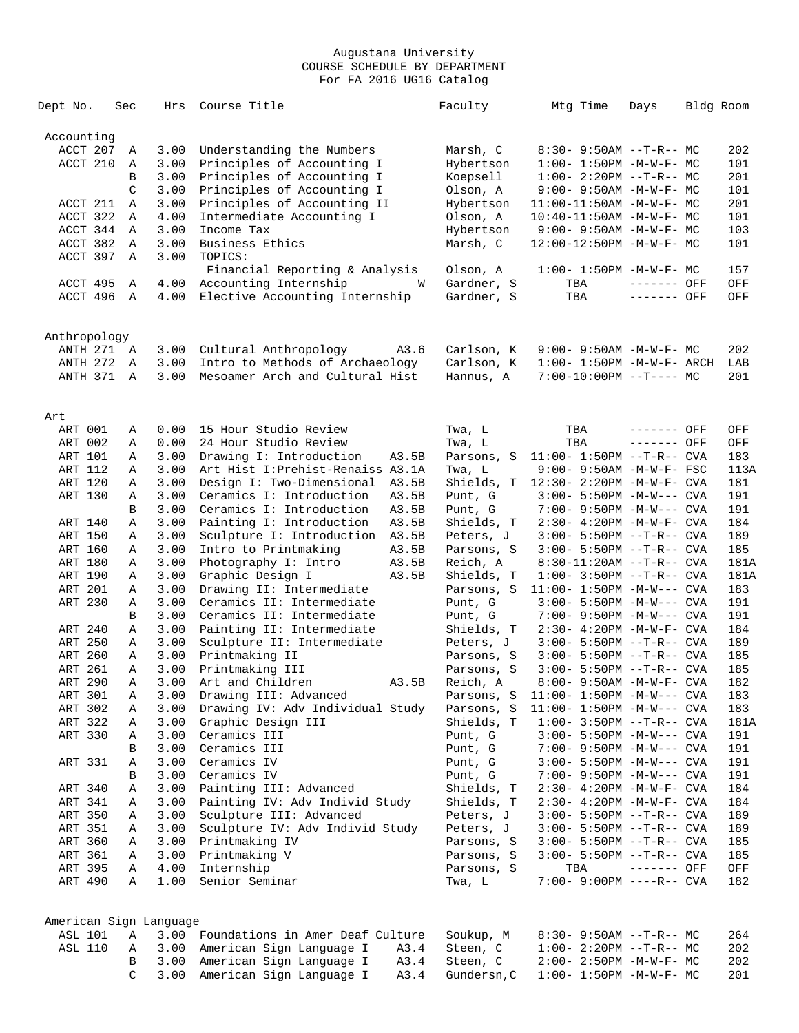| Dept No.               | Sec           | Hrs          | Course Title                                                       | Faculty     | Mtg Time                           | Days        | Bldg Room |            |
|------------------------|---------------|--------------|--------------------------------------------------------------------|-------------|------------------------------------|-------------|-----------|------------|
| Accounting             |               |              |                                                                    |             |                                    |             |           |            |
| ACCT 207               | Α             | 3.00         | Understanding the Numbers                                          | Marsh, C    | 8:30- 9:50AM --T-R-- MC            |             |           | 202        |
| ACCT 210               | Α             | 3.00         | Principles of Accounting I                                         | Hybertson   | $1:00 - 1:50PM - M - W - F - MC$   |             |           | 101        |
|                        | B             | 3.00         | Principles of Accounting I                                         | Koepsell    | $1:00-2:20PM -T-R--MC$             |             |           | 201        |
|                        | $\mathcal{C}$ | 3.00         | Principles of Accounting I                                         | Olson, A    | $9:00 - 9:50AM - M - W - F - MC$   |             |           | 101        |
| ACCT 211               | Α             | 3.00         | Principles of Accounting II                                        | Hybertson   | $11:00-11:50AM$ -M-W-F- MC         |             |           | 201        |
| ACCT 322               | Α             | 4.00         | Intermediate Accounting I                                          | Olson, A    | $10:40 - 11:50AM$ -M-W-F- MC       |             |           | 101        |
| ACCT 344               | A             | 3.00         | Income Tax                                                         | Hybertson   | $9:00 - 9:50AM - M-W-F - MC$       |             |           | 103        |
| ACCT 382               | Α             | 3.00         | Business Ethics                                                    | Marsh, C    | 12:00-12:50PM -M-W-F- MC           |             |           | 101        |
| ACCT 397               | Α             | 3.00         | TOPICS:                                                            |             |                                    |             |           |            |
|                        |               |              | Financial Reporting & Analysis                                     | Olson, A    | $1:00 - 1:50PM - M - W - F - MC$   |             |           | 157        |
| ACCT 495               | Α             | 4.00         | Accounting Internship<br>W                                         | Gardner, S  | TBA                                | ------- OFF |           | OFF        |
| ACCT 496               | A             | 4.00         | Elective Accounting Internship                                     | Gardner, S  | TBA                                | ------- OFF |           | OFF        |
|                        |               |              |                                                                    |             |                                    |             |           |            |
| Anthropology           |               |              |                                                                    |             |                                    |             |           |            |
| ANTH 271 A             |               | 3.00         | Cultural Anthropology<br>A3.6                                      | Carlson, K  | $9:00 - 9:50AM - M - W - F - MC$   |             |           | 202        |
| <b>ANTH 272</b>        | Α             | 3.00<br>3.00 | Intro to Methods of Archaeology<br>Mesoamer Arch and Cultural Hist | Carlson, K  | $1:00 - 1:50PM - M - W - F - ARCH$ |             |           | LAB<br>201 |
| ANTH 371               | A             |              |                                                                    | Hannus, A   | $7:00-10:00PM$ --T---- MC          |             |           |            |
| Art                    |               |              |                                                                    |             |                                    |             |           |            |
| ART 001                | Α             | 0.00         | 15 Hour Studio Review                                              | Twa, L      | TBA                                | ------- OFF |           | OFF        |
| ART 002                | Α             | 0.00         | 24 Hour Studio Review                                              | Twa, L      | TBA                                | ------- OFF |           | OFF        |
| ART 101                | Α             | 3.00         | Drawing I: Introduction<br>A3.5B                                   | Parsons, S  | $11:00 - 1:50PM -T-R--CVA$         |             |           | 183        |
| ART 112                | Α             | 3.00         | Art Hist I: Prehist-Renaiss A3.1A                                  | Twa, L      | $9:00 - 9:50AM - M-W-F - FSC$      |             |           | 113A       |
| ART 120                | Α             | 3.00         | Design I: Two-Dimensional<br>A3.5B                                 | Shields, T  | 12:30- 2:20PM -M-W-F- CVA          |             |           | 181        |
| ART 130                | Α             | 3.00         | Ceramics I: Introduction<br>A3.5B                                  | Punt, G     | $3:00 - 5:50PM -M-W---$ CVA        |             |           | 191        |
|                        | B             | 3.00         | Ceramics I: Introduction<br>A3.5B                                  | Punt, G     | 7:00- 9:50PM -M-W--- CVA           |             |           | 191        |
| ART 140                | Α             | 3.00         | A3.5B<br>Painting I: Introduction                                  | Shields, T  | 2:30- 4:20PM -M-W-F- CVA           |             |           | 184        |
| ART 150                | Α             | 3.00         | Sculpture I: Introduction<br>A3.5B                                 | Peters, J   | 3:00- 5:50PM --T-R-- CVA           |             |           | 189        |
| ART 160                | Α             | 3.00         | Intro to Printmaking<br>A3.5B                                      | Parsons, S  | 3:00- 5:50PM --T-R-- CVA           |             |           | 185        |
| ART 180                | Α             | 3.00         | Photography I: Intro<br>A3.5B                                      | Reich, A    | $8:30-11:20AM$ --T-R-- CVA         |             |           | 181A       |
| ART 190                | Α             | 3.00         | Graphic Design I<br>A3.5B                                          | Shields, T  | $1:00 - 3:50PM -T-R--CVA$          |             |           | 181A       |
| ART 201                | Α             | 3.00         | Drawing II: Intermediate                                           | Parsons, S  | $11:00 - 1:50PM - M-W---$ CVA      |             |           | 183        |
| ART 230                | Α             | 3.00         | Ceramics II: Intermediate                                          | Punt, G     | $3:00 - 5:50PM -M-W---$ CVA        |             |           | 191        |
|                        | В             | 3.00         | Ceramics II: Intermediate                                          | Punt, G     | 7:00- 9:50PM -M-W--- CVA           |             |           | 191        |
| ART 240                | Α             | 3.00         | Painting II: Intermediate                                          | Shields, T  | 2:30- 4:20PM -M-W-F- CVA           |             |           | 184        |
| ART 250                | Α             | 3.00         | Sculpture II: Intermediate                                         | Peters, J   | 3:00- 5:50PM --T-R-- CVA           |             |           | 189        |
| ART 260                | Α             | 3.00         | Printmaking II                                                     | Parsons, S  | 3:00- 5:50PM --T-R-- CVA           |             |           | 185        |
| ART 261                | Α             | 3.00         | Printmaking III                                                    | Parsons, S  | $3:00 - 5:50PM -T-R--CVA$          |             |           | 185        |
| ART 290                | A             | 3.00         | Art and Children<br>A3.5B                                          | Reich, A    | 8:00- 9:50AM -M-W-F- CVA           |             |           | 182        |
| ART 301                | Α             | 3.00         | Drawing III: Advanced                                              | Parsons, S  | $11:00 - 1:50PM - M-W---$ CVA      |             |           | 183        |
| ART 302                | Α             | 3.00         | Drawing IV: Adv Individual Study                                   | Parsons, S  | $11:00 - 1:50PM - M-W---$ CVA      |             |           | 183        |
| ART 322                | Α             | 3.00         | Graphic Design III                                                 | Shields, T  | $1:00-3:50PM -T-R--CVA$            |             |           | 181A       |
| ART 330                | Α             | 3.00         | Ceramics III                                                       | Punt, G     | 3:00- 5:50PM -M-W--- CVA           |             |           | 191        |
|                        | В             | 3.00         | Ceramics III                                                       | Punt, G     | 7:00- 9:50PM -M-W--- CVA           |             |           | 191        |
| ART 331                | Α             | 3.00         | Ceramics IV                                                        | Punt, G     | 3:00- 5:50PM -M-W--- CVA           |             |           | 191        |
|                        | B             | 3.00         | Ceramics IV                                                        | Punt, G     | 7:00- 9:50PM -M-W--- CVA           |             |           | 191        |
| ART 340                | Α             | 3.00         | Painting III: Advanced                                             | Shields, T  | 2:30- 4:20PM -M-W-F- CVA           |             |           | 184        |
| ART 341                | Α             | 3.00         | Painting IV: Adv Individ Study                                     | Shields, T  | 2:30- 4:20PM -M-W-F- CVA           |             |           | 184        |
| ART 350                | Α             | 3.00         | Sculpture III: Advanced                                            | Peters, J   | 3:00- 5:50PM --T-R-- CVA           |             |           | 189        |
| ART 351                | Α             | 3.00         | Sculpture IV: Adv Individ Study                                    | Peters, J   | 3:00- 5:50PM --T-R-- CVA           |             |           | 189        |
| ART 360                | Α             | 3.00         | Printmaking IV                                                     | Parsons, S  | 3:00- 5:50PM --T-R-- CVA           |             |           | 185        |
| ART 361                | Α             | 3.00         | Printmaking V                                                      | Parsons, S  | 3:00- 5:50PM --T-R-- CVA           |             |           | 185        |
| ART 395                | Α             | 4.00         | Internship                                                         | Parsons, S  | TBA                                | ------- OFF |           | OFF        |
| ART 490                | Α             | 1.00         | Senior Seminar                                                     | Twa, L      | 7:00- 9:00PM ----R-- CVA           |             |           | 182        |
|                        |               |              |                                                                    |             |                                    |             |           |            |
| American Sign Language |               |              |                                                                    |             |                                    |             |           |            |
| ASL 101                | Α             | 3.00         | Foundations in Amer Deaf Culture                                   | Soukup, M   | 8:30- 9:50AM --T-R-- MC            |             |           | 264        |
| ASL 110                | Α             | 3.00         | American Sign Language I<br>A3.4                                   | Steen, C    | $1:00-2:20PM -T-R--MC$             |             |           | 202        |
|                        | В             | 3.00         | American Sign Language I<br>A3.4                                   | Steen, C    | 2:00- 2:50PM -M-W-F- MC            |             |           | 202        |
|                        | C             | 3.00         | American Sign Language I<br>A3.4                                   | Gundersn, C | $1:00 - 1:50PM - M - W - F - MC$   |             |           | 201        |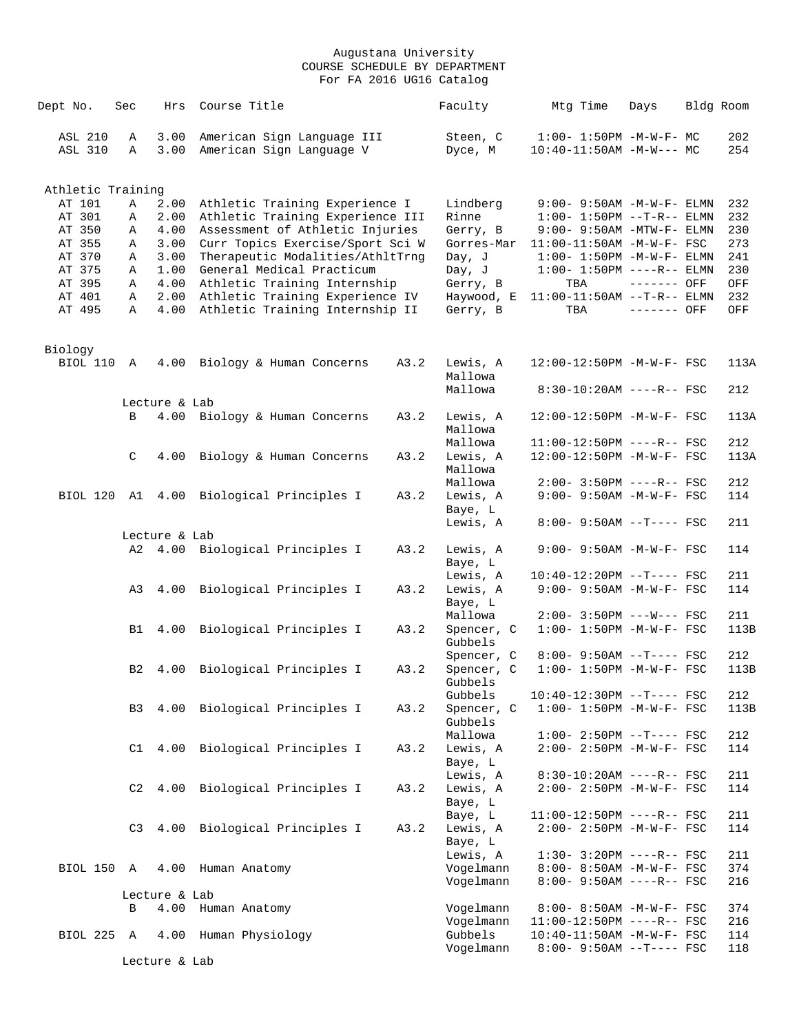| Dept No.                         | Sec            | Hrs           | Course Title                                                       |      | Faculty                | Mtg Time                                                | Days        | Bldg Room  |
|----------------------------------|----------------|---------------|--------------------------------------------------------------------|------|------------------------|---------------------------------------------------------|-------------|------------|
| <b>ASL 210</b><br><b>ASL 310</b> | Α<br>Α         | 3.00<br>3.00  | American Sign Language III<br>American Sign Language V             |      | Steen, C<br>Dyce, M    | $1:00 - 1:50PM -M-W-F-MC$<br>$10:40-11:50AM -M-W--- MC$ |             | 202<br>254 |
|                                  |                |               |                                                                    |      |                        |                                                         |             |            |
| Athletic Training                |                |               |                                                                    |      |                        |                                                         |             |            |
| AT 101                           | Α              | 2.00          | Athletic Training Experience I                                     |      | Lindberg               | $9:00 - 9:50AM - M - W - F - ELMN$                      |             | 232        |
| AT 301                           | Α              | 2.00          | Athletic Training Experience III                                   |      | Rinne                  | $1:00 - 1:50PM -T-R-- ELMN$                             |             | 232        |
| AT 350                           | Α              | 4.00          | Assessment of Athletic Injuries                                    |      | Gerry, B               | $9:00-9:50AM - MTW-F - ELMN$                            |             | 230        |
| AT 355                           | Α              | 3.00          | Curr Topics Exercise/Sport Sci W                                   |      | Gorres-Mar             | $11:00-11:50AM$ -M-W-F- FSC                             |             | 273        |
| AT 370                           | Α              | 3.00          | Therapeutic Modalities/AthltTrnq                                   |      | Day, J                 | $1:00-1:50PM -M-W-F-ELMN$                               |             | 241        |
| AT 375                           | Α              | 1.00          | General Medical Practicum                                          |      | Day, J                 | $1:00 - 1:50PM$ ----R-- ELMN                            |             | 230        |
| AT 395                           | Α              | 4.00          | Athletic Training Internship                                       |      | Gerry, B               | TBA                                                     | ------- OFF | OFF        |
| AT 401<br>AT 495                 | Α<br>Α         | 2.00<br>4.00  | Athletic Training Experience IV<br>Athletic Training Internship II |      | Haywood, E<br>Gerry, B | $11:00-11:50AM$ --T-R-- ELMN<br>TBA                     | ------- OFF | 232<br>OFF |
|                                  |                |               |                                                                    |      |                        |                                                         |             |            |
| Biology                          |                |               |                                                                    |      |                        |                                                         |             |            |
| BIOL 110 A                       |                | 4.00          | Biology & Human Concerns                                           | A3.2 | Lewis, A<br>Mallowa    | 12:00-12:50PM -M-W-F- FSC                               |             | 113A       |
|                                  |                |               |                                                                    |      | Mallowa                | $8:30-10:20AM$ ----R-- FSC                              |             | 212        |
|                                  |                | Lecture & Lab |                                                                    |      |                        |                                                         |             |            |
|                                  | B              | 4.00          | Biology & Human Concerns                                           | A3.2 | Lewis, A               | 12:00-12:50PM -M-W-F- FSC                               |             | 113A       |
|                                  |                |               |                                                                    |      | Mallowa                |                                                         |             |            |
|                                  |                |               |                                                                    |      | Mallowa                | $11:00-12:50PM$ ----R-- FSC                             |             | 212        |
|                                  | C              | 4.00          | Biology & Human Concerns                                           | A3.2 | Lewis, A               | 12:00-12:50PM -M-W-F- FSC                               |             | 113A       |
|                                  |                |               |                                                                    |      | Mallowa                |                                                         |             |            |
|                                  |                |               |                                                                    |      | Mallowa                | $2:00-3:50PM$ ----R-- FSC                               |             | 212        |
|                                  |                |               | BIOL 120 A1 4.00 Biological Principles I                           | A3.2 | Lewis, A               | 9:00- 9:50AM -M-W-F- FSC                                |             | 114        |
|                                  |                |               |                                                                    |      | Baye, L                | $8:00-9:50AM --T---FSC$                                 |             | 211        |
|                                  |                | Lecture & Lab |                                                                    |      | Lewis, A               |                                                         |             |            |
|                                  | A2             |               | 4.00 Biological Principles I                                       | A3.2 | Lewis, A               | $9:00 - 9:50AM - M - W - F - FSC$                       |             | 114        |
|                                  |                |               |                                                                    |      | Baye, L                |                                                         |             |            |
|                                  |                |               |                                                                    |      | Lewis, A               | $10:40-12:20PM$ --T---- FSC                             |             | 211        |
|                                  | A3             | 4.00          | Biological Principles I                                            | A3.2 | Lewis, A               | 9:00- 9:50AM -M-W-F- FSC                                |             | 114        |
|                                  |                |               |                                                                    |      | Baye, L                |                                                         |             |            |
|                                  |                |               |                                                                    |      | Mallowa                | $2:00-3:50PM$ ---W--- FSC                               |             | 211        |
|                                  | B1             | 4.00          | Biological Principles I                                            | A3.2 | Spencer, C             | $1:00 - 1:50PM - M - W - F - FSC$                       |             | 113B       |
|                                  |                |               |                                                                    |      | Gubbels                |                                                         |             |            |
|                                  |                |               |                                                                    |      | Spencer, C             | $8:00-9:50AM --T---FSC$                                 |             | 212        |
|                                  | B2             | 4.00          | Biological Principles I                                            | A3.2 | Spencer, C             | $1:00 - 1:50PM - M - W - F - FSC$                       |             | 113B       |
|                                  |                |               |                                                                    |      | Gubbels                |                                                         |             |            |
|                                  |                |               |                                                                    |      | Gubbels                | $10:40-12:30PM$ --T---- FSC                             |             | 212        |
|                                  | B <sub>3</sub> |               | 4.00 Biological Principles I                                       | A3.2 | Spencer, C             | $1:00 - 1:50PM -M-W-F - FSC$                            |             | 113B       |
|                                  |                |               |                                                                    |      | Gubbels                |                                                         |             |            |
|                                  |                |               |                                                                    |      | Mallowa                | $1:00-2:50PM -T---FSC$                                  |             | 212        |
|                                  | C1             |               | 4.00 Biological Principles I                                       | A3.2 | Lewis, A               | 2:00- 2:50PM -M-W-F- FSC                                |             | 114        |
|                                  |                |               |                                                                    |      | Baye, L                |                                                         |             |            |
|                                  |                |               |                                                                    |      | Lewis, A               | $8:30-10:20AM$ ----R-- FSC                              |             | 211        |
|                                  | C2             | 4.00          | Biological Principles I                                            | A3.2 | Lewis, A               | $2:00 - 2:50PM -M-W-F - FSC$                            |             | 114        |
|                                  |                |               |                                                                    |      | Baye, L                |                                                         |             |            |
|                                  |                |               |                                                                    |      | Baye, L                | 11:00-12:50PM ----R-- FSC                               |             | 211        |
|                                  | C <sub>3</sub> | 4.00          | Biological Principles I                                            | A3.2 | Lewis, A               | $2:00 - 2:50PM - M - W - F - FSC$                       |             | 114        |
|                                  |                |               |                                                                    |      | Baye, L<br>Lewis, A    | $1:30 - 3:20PM$ ----R-- FSC                             |             | 211        |
| BIOL 150 A                       |                | 4.00          | Human Anatomy                                                      |      | Vogelmann              | 8:00- 8:50AM -M-W-F- FSC                                |             | 374        |
|                                  |                |               |                                                                    |      |                        | 8:00- 9:50AM ----R-- FSC                                |             |            |
|                                  |                | Lecture & Lab |                                                                    |      | Vogelmann              |                                                         |             | 216        |
|                                  | В              | 4.00          | Human Anatomy                                                      |      | Vogelmann              | 8:00- 8:50AM -M-W-F- FSC                                |             | 374        |
|                                  |                |               |                                                                    |      | Vogelmann              | $11:00-12:50PM$ ----R-- FSC                             |             | 216        |
| BIOL 225 A                       |                | 4.00          | Human Physiology                                                   |      | Gubbels                | $10:40 - 11:50AM$ -M-W-F- FSC                           |             | 114        |
|                                  |                |               |                                                                    |      | Vogelmann              | $8:00-9:50AM --T---FSC$                                 |             | 118        |
|                                  |                | Lecture & Lab |                                                                    |      |                        |                                                         |             |            |
|                                  |                |               |                                                                    |      |                        |                                                         |             |            |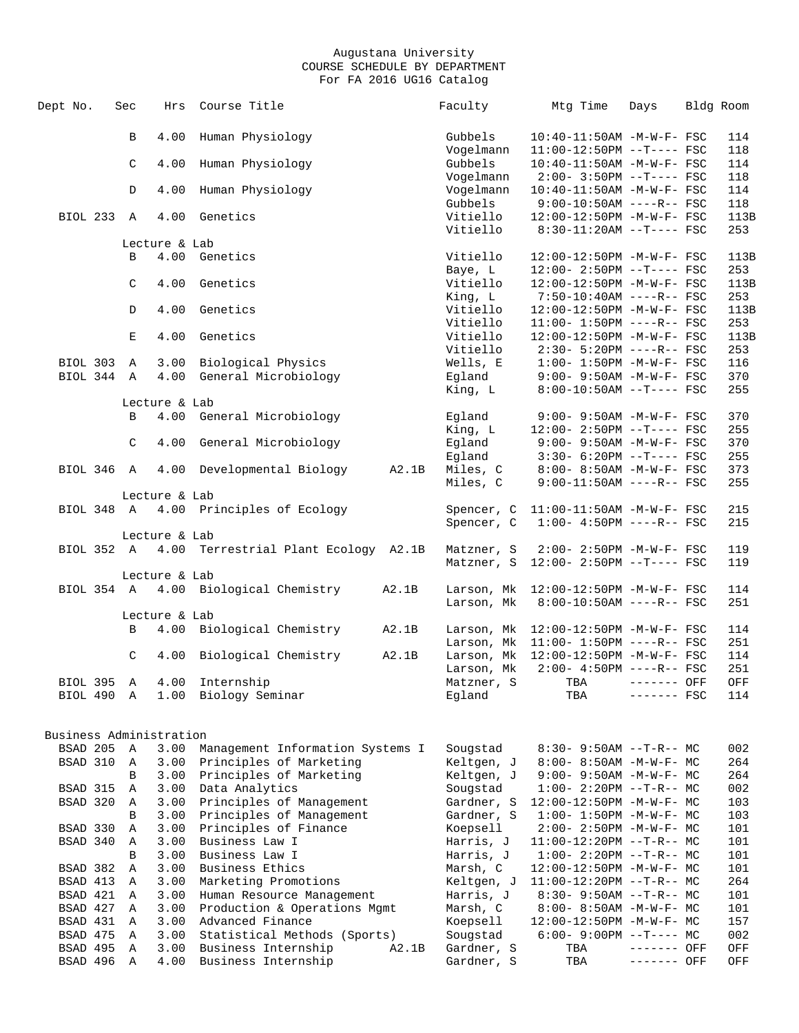| Dept No.                | Sec |                    | Hrs          | Course Title                                    |       | Faculty                | Mtg Time                                                             | Days         | Bldg Room   |
|-------------------------|-----|--------------------|--------------|-------------------------------------------------|-------|------------------------|----------------------------------------------------------------------|--------------|-------------|
|                         |     | $\, {\bf B}$       | 4.00         | Human Physiology                                |       | Gubbels                | 10:40-11:50AM -M-W-F- FSC                                            |              | 114         |
|                         |     |                    |              |                                                 |       | Vogelmann              | 11:00-12:50PM --T---- FSC                                            |              | 118         |
|                         |     | C                  | 4.00         | Human Physiology                                |       | Gubbels                | 10:40-11:50AM -M-W-F- FSC                                            |              | 114         |
|                         |     |                    |              |                                                 |       | Vogelmann              | $2:00 - 3:50PM -T--- FSC$                                            |              | 118         |
|                         |     | $\mathbb{D}$       | 4.00         | Human Physiology                                |       | Vogelmann              | 10:40-11:50AM -M-W-F- FSC                                            |              | 114         |
|                         |     |                    |              |                                                 |       | Gubbels                | $9:00-10:50AM$ ----R-- FSC                                           |              | 118         |
| BIOL 233 A              |     |                    | 4.00         | Genetics                                        |       | Vitiello               | 12:00-12:50PM -M-W-F- FSC                                            |              | 113B        |
|                         |     |                    |              |                                                 |       | Vitiello               | $8:30-11:20AM$ --T---- FSC                                           |              | 253         |
|                         |     | Lecture & Lab      |              |                                                 |       |                        |                                                                      |              |             |
|                         |     | B                  | 4.00         | Genetics                                        |       | Vitiello               | 12:00-12:50PM -M-W-F- FSC                                            |              | 113B        |
|                         |     |                    |              |                                                 |       | Baye, L                | 12:00- 2:50PM --T---- FSC                                            |              | 253         |
|                         |     | $\mathcal{C}$      |              | 4.00 Genetics                                   |       | Vitiello               | 12:00-12:50PM -M-W-F- FSC                                            |              | 113B<br>253 |
|                         |     | $\mathbb{D}$       | 4.00         | Genetics                                        |       | King, L<br>Vitiello    | 7:50-10:40AM ----R-- FSC<br>12:00-12:50PM -M-W-F- FSC                |              | 113B        |
|                         |     |                    |              |                                                 |       | Vitiello               | $11:00 - 1:50PM$ ----R-- FSC                                         |              | 253         |
|                         |     | Е                  | 4.00         | Genetics                                        |       | Vitiello               | 12:00-12:50PM -M-W-F- FSC                                            |              | 113B        |
|                         |     |                    |              |                                                 |       | Vitiello               | $2:30 - 5:20PM$ ----R-- FSC                                          |              | 253         |
| BIOL 303 A              |     |                    | 3.00         | Biological Physics                              |       | Wells, E               | $1:00-1:50PM -M-W-F-FSC$                                             |              | 116         |
| BIOL 344 A              |     |                    | 4.00         | General Microbiology                            |       | Eqland                 | $9:00 - 9:50AM - M - W - F - FSC$                                    |              | 370         |
|                         |     |                    |              |                                                 |       | King, L                | $8:00-10:50AM$ --T---- FSC                                           |              | 255         |
|                         |     | Lecture & Lab      |              |                                                 |       |                        |                                                                      |              |             |
|                         |     | B                  |              | 4.00 General Microbiology                       |       | Eqland                 | $9:00 - 9:50AM - M - W - F - FSC$                                    |              | 370         |
|                         |     |                    |              |                                                 |       | King, L                | $12:00 - 2:50PM -T--- FSC$                                           |              | 255         |
|                         |     | C                  | 4.00         | General Microbiology                            |       | Egland                 | $9:00 - 9:50AM - M - W - F - FSC$                                    |              | 370         |
|                         |     |                    |              |                                                 |       | Egland                 | $3:30-6:20PM$ --T---- FSC                                            |              | 255         |
| BIOL 346 A              |     |                    | 4.00         | Developmental Biology                           | A2.1B | Miles, C               | 8:00- 8:50AM -M-W-F- FSC                                             |              | 373         |
|                         |     |                    |              |                                                 |       | Miles, C               | $9:00-11:50AM$ ----R-- FSC                                           |              | 255         |
|                         |     | Lecture & Lab      |              |                                                 |       |                        |                                                                      |              |             |
|                         |     |                    |              | BIOL 348 A 4.00 Principles of Ecology           |       | Spencer, C             | $11:00-11:50AM$ -M-W-F- FSC                                          |              | 215         |
|                         |     |                    |              |                                                 |       | Spencer, C             | $1:00-4:50PM$ ----R-- FSC                                            |              | 215         |
|                         |     | Lecture & Lab      |              |                                                 |       |                        |                                                                      |              |             |
|                         |     |                    |              | BIOL 352 A 4.00 Terrestrial Plant Ecology A2.1B |       | Matzner, S             | $2:00 - 2:50PM -M-W-F-$ FSC                                          |              | 119         |
|                         |     |                    |              |                                                 |       |                        | Matzner, S 12:00- 2:50PM --T---- FSC                                 |              | 119         |
|                         |     | Lecture & Lab      |              |                                                 |       |                        |                                                                      |              |             |
|                         |     |                    |              | BIOL 354 A 4.00 Biological Chemistry            | A2.1B | Larson, Mk             | 12:00-12:50PM -M-W-F- FSC                                            |              | 114         |
|                         |     |                    |              |                                                 |       | Larson, Mk             | 8:00-10:50AM ----R-- FSC                                             |              | 251         |
|                         |     | Lecture & Lab<br>B |              | 4.00 Biological Chemistry                       |       |                        |                                                                      |              | 114         |
|                         |     |                    |              |                                                 | A2.1B | Larson, Mk             | Larson, Mk 12:00-12:50PM -M-W-F- FSC<br>$11:00 - 1:50PM$ ----R-- FSC |              | 251         |
|                         |     | C                  | 4.00         | Biological Chemistry                            | A2.1B |                        | Larson, Mk 12:00-12:50PM -M-W-F- FSC                                 |              | 114         |
|                         |     |                    |              |                                                 |       | Larson, Mk             | $2:00-4:50PM$ ----R-- FSC                                            |              | 251         |
| BIOL 395 A              |     |                    | 4.00         | Internship                                      |       | Matzner, S             | TBA                                                                  | $------$ OFF | ${\rm OFF}$ |
| BIOL 490                |     | Α                  |              | 1.00 Biology Seminar                            |       | Egland                 | TBA                                                                  | $------$ FSC | 114         |
|                         |     |                    |              |                                                 |       |                        |                                                                      |              |             |
|                         |     |                    |              |                                                 |       |                        |                                                                      |              |             |
| Business Administration |     |                    |              |                                                 |       |                        |                                                                      |              |             |
| BSAD 205                |     | Α                  | 3.00         | Management Information Systems I                |       | Sougstad               | $8:30 - 9:50AM -T-R-- MC$                                            |              | 002         |
| BSAD 310                |     | Α                  | 3.00         | Principles of Marketing                         |       | Keltgen, J             | 8:00- 8:50AM -M-W-F- MC                                              |              | 264         |
|                         |     | B                  | 3.00         | Principles of Marketing                         |       | Keltgen, J             | $9:00 - 9:50AM - M - W - F - MC$                                     |              | 264         |
| BSAD 315                |     | Α                  | 3.00         | Data Analytics                                  |       | Sougstad               | $1:00-2:20PM -T-R--MC$                                               |              | 002         |
| BSAD 320                |     | Α                  | 3.00         | Principles of Management                        |       | Gardner, S             | 12:00-12:50PM -M-W-F- MC                                             |              | 103         |
|                         |     | В                  | 3.00         | Principles of Management                        |       | Gardner, S             | $1:00 - 1:50PM - M - W - F - MC$                                     |              | 103         |
| BSAD 330                |     | Α                  | 3.00<br>3.00 | Principles of Finance<br>Business Law I         |       | Koepsell               | 2:00- 2:50PM -M-W-F- MC                                              |              | 101         |
| BSAD 340                |     | Α<br>В             | 3.00         | Business Law I                                  |       | Harris, J<br>Harris, J | $11:00-12:20PM$ --T-R-- MC                                           |              | 101         |
| BSAD 382                |     | Α                  | 3.00         | Business Ethics                                 |       | Marsh, C               | $1:00-2:20PM -T-R--MC$<br>$12:00-12:50PM -M-W-F-MC$                  |              | 101<br>101  |
| BSAD 413                |     | Α                  | 3.00         | Marketing Promotions                            |       | Keltgen, J             | $11:00-12:20PM$ --T-R-- MC                                           |              | 264         |
| BSAD 421                |     | Α                  | 3.00         | Human Resource Management                       |       | Harris, J              | $8:30 - 9:50AM -T-R-- MC$                                            |              | 101         |
| BSAD 427                |     | Α                  | 3.00         | Production & Operations Mgmt                    |       | Marsh, C               | 8:00- 8:50AM -M-W-F- MC                                              |              | 101         |
| BSAD 431                |     | Α                  | 3.00         | Advanced Finance                                |       | Koepsell               | $12:00-12:50PM -M-W-F-MC$                                            |              | 157         |
| BSAD 475                |     | Α                  | 3.00         | Statistical Methods (Sports)                    |       | Sougstad               | $6:00-9:00PM --T---MC$                                               |              | 002         |
| BSAD 495                |     | Α                  | 3.00         | Business Internship                             | A2.1B | Gardner, S             | TBA                                                                  | ------- OFF  | OFF         |
| BSAD 496                |     | Α                  | 4.00         | Business Internship                             |       | Gardner, S             | TBA                                                                  | ------- OFF  | OFF         |
|                         |     |                    |              |                                                 |       |                        |                                                                      |              |             |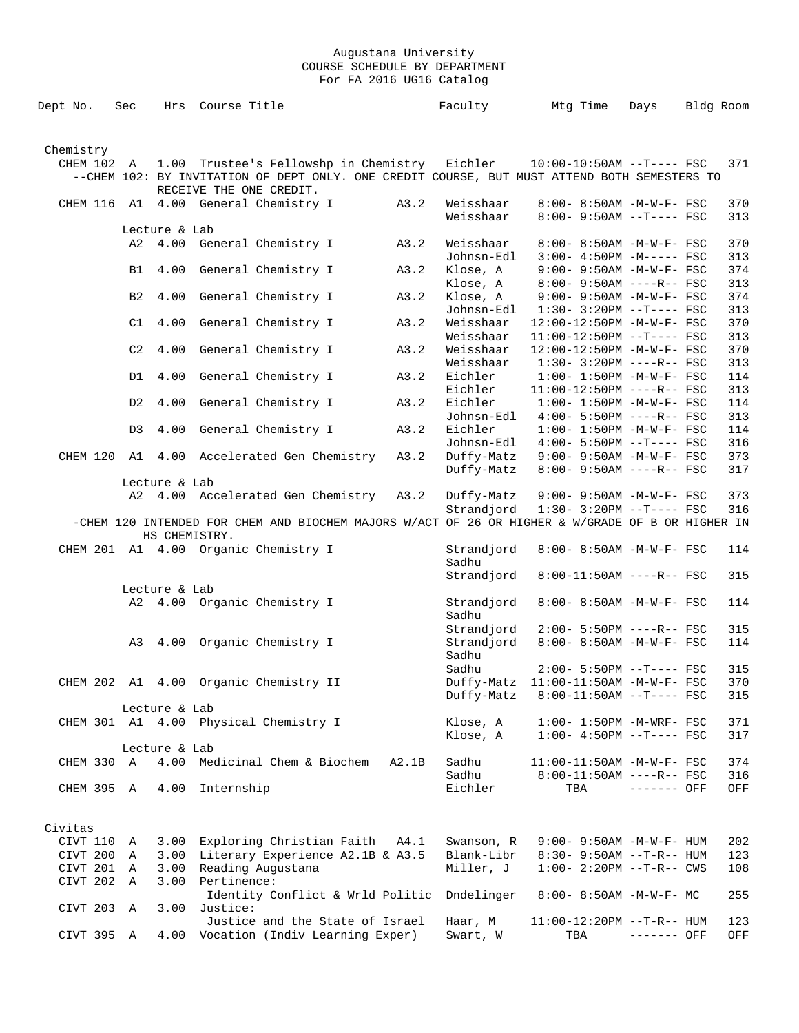| Dept No.    | Sec          |               | Hrs Course Title                                                                                 |       | Faculty    | Mtg Time                          | Days        | Bldg Room |     |
|-------------|--------------|---------------|--------------------------------------------------------------------------------------------------|-------|------------|-----------------------------------|-------------|-----------|-----|
|             |              |               |                                                                                                  |       |            |                                   |             |           |     |
| Chemistry   |              |               |                                                                                                  |       |            |                                   |             |           |     |
| CHEM 102 A  |              |               | 1.00 Trustee's Fellowshp in Chemistry Eichler 10:00-10:50AM --T---- FSC                          |       |            |                                   |             |           | 371 |
|             |              |               | --CHEM 102: BY INVITATION OF DEPT ONLY. ONE CREDIT COURSE, BUT MUST ATTEND BOTH SEMESTERS TO     |       |            |                                   |             |           |     |
|             |              |               | RECEIVE THE ONE CREDIT.                                                                          |       |            |                                   |             |           |     |
|             |              |               |                                                                                                  | A3.2  | Weisshaar  |                                   |             |           | 370 |
|             |              |               | CHEM 116 A1 4.00 General Chemistry I                                                             |       |            | $8:00 - 8:50AM - M - W - F - FSC$ |             |           |     |
|             |              |               |                                                                                                  |       | Weisshaar  | $8:00 - 9:50AM -T--- FSC$         |             |           | 313 |
|             |              | Lecture & Lab |                                                                                                  |       |            |                                   |             |           |     |
|             |              |               | A2 4.00 General Chemistry I                                                                      | A3.2  | Weisshaar  | $8:00 - 8:50AM$ -M-W-F- FSC       |             |           | 370 |
|             |              |               |                                                                                                  |       | Johnsn-Edl | $3:00-4:50PM -M---FSC$            |             |           | 313 |
|             | B1           | 4.00          | General Chemistry I                                                                              | A3.2  | Klose, A   | 9:00- 9:50AM -M-W-F- FSC          |             |           | 374 |
|             |              |               |                                                                                                  |       | Klose, A   | $8:00 - 9:50AM$ ----R-- FSC       |             |           | 313 |
|             | B2           | 4.00          | General Chemistry I                                                                              | A3.2  | Klose, A   | $9:00 - 9:50AM - M - W - F - FSC$ |             |           | 374 |
|             |              |               |                                                                                                  |       | Johnsn-Edl | $1:30-3:20PM -T---FSC$            |             |           | 313 |
|             | C1           | 4.00          | General Chemistry I                                                                              | A3.2  | Weisshaar  | 12:00-12:50PM -M-W-F- FSC         |             |           | 370 |
|             |              |               |                                                                                                  |       | Weisshaar  | $11:00-12:50PM$ --T---- FSC       |             |           | 313 |
|             | C2           | 4.00          | General Chemistry I                                                                              | A3.2  | Weisshaar  | 12:00-12:50PM -M-W-F- FSC         |             |           | 370 |
|             |              |               |                                                                                                  |       | Weisshaar  | $1:30-3:20PM$ ----R-- FSC         |             |           | 313 |
|             | D1           | 4.00          | General Chemistry I                                                                              | A3.2  | Eichler    | $1:00 - 1:50PM - M - W - F - FSC$ |             |           | 114 |
|             |              |               |                                                                                                  |       | Eichler    | $11:00-12:50PM$ ----R-- FSC       |             |           | 313 |
|             | D2           | 4.00          | General Chemistry I                                                                              | A3.2  | Eichler    | $1:00 - 1:50PM - M - W - F - FSC$ |             |           | 114 |
|             |              |               |                                                                                                  |       | Johnsn-Edl | $4:00 - 5:50PM$ ----R-- FSC       |             |           | 313 |
|             |              | 4.00          | General Chemistry I                                                                              | A3.2  | Eichler    |                                   |             |           | 114 |
|             | D3           |               |                                                                                                  |       |            | $1:00 - 1:50PM - M - W - F - FSC$ |             |           |     |
|             |              |               |                                                                                                  |       | Johnsn-Edl | $4:00 - 5:50PM -T--- FSC$         |             |           | 316 |
|             |              |               | CHEM 120 A1 4.00 Accelerated Gen Chemistry                                                       | A3.2  | Duffy-Matz | $9:00 - 9:50AM - M - W - F - FSC$ |             |           | 373 |
|             |              |               |                                                                                                  |       | Duffy-Matz | 8:00- 9:50AM ----R-- FSC          |             |           | 317 |
|             |              | Lecture & Lab |                                                                                                  |       |            |                                   |             |           |     |
|             |              |               | A2 4.00 Accelerated Gen Chemistry                                                                | A3.2  | Duffy-Matz | 9:00- 9:50AM -M-W-F- FSC          |             |           | 373 |
|             |              |               |                                                                                                  |       | Strandjord | $1:30-3:20PM --T---FSC$           |             |           | 316 |
|             |              |               | -CHEM 120 INTENDED FOR CHEM AND BIOCHEM MAJORS W/ACT OF 26 OR HIGHER & W/GRADE OF B OR HIGHER IN |       |            |                                   |             |           |     |
|             |              | HS CHEMISTRY. |                                                                                                  |       |            |                                   |             |           |     |
|             |              |               | CHEM 201 A1 4.00 Organic Chemistry I                                                             |       | Strandjord | 8:00- 8:50AM -M-W-F- FSC          |             |           | 114 |
|             |              |               |                                                                                                  |       | Sadhu      |                                   |             |           |     |
|             |              |               |                                                                                                  |       | Strandjord | 8:00-11:50AM ----R-- FSC          |             |           | 315 |
|             |              | Lecture & Lab |                                                                                                  |       |            |                                   |             |           |     |
|             |              |               | A2 4.00 Organic Chemistry I                                                                      |       | Strandjord | 8:00- 8:50AM -M-W-F- FSC          |             |           | 114 |
|             |              |               |                                                                                                  |       | Sadhu      |                                   |             |           |     |
|             |              |               |                                                                                                  |       | Strandjord | $2:00 - 5:50PM$ ----R-- FSC       |             |           | 315 |
|             | A3           |               | 4.00 Organic Chemistry I                                                                         |       | Strandjord | 8:00- 8:50AM -M-W-F- FSC          |             |           | 114 |
|             |              |               |                                                                                                  |       | Sadhu      |                                   |             |           |     |
|             |              |               |                                                                                                  |       |            |                                   |             |           |     |
|             |              |               |                                                                                                  |       | Sadhu      | $2:00 - 5:50PM -T--- FSC$         |             |           | 315 |
| CHEM 202 A1 |              |               | 4.00 Organic Chemistry II                                                                        |       | Duffy-Matz | 11:00-11:50AM -M-W-F- FSC         |             |           | 370 |
|             |              |               |                                                                                                  |       | Duffy-Matz | $8:00-11:50AM$ --T---- FSC        |             |           | 315 |
|             |              | Lecture & Lab |                                                                                                  |       |            |                                   |             |           |     |
|             |              |               | CHEM 301 A1 4.00 Physical Chemistry I                                                            |       | Klose, A   | $1:00-1:50PM$ -M-WRF- FSC         |             |           | 371 |
|             |              |               |                                                                                                  |       | Klose, A   | $1:00-4:50PM --T---FSC$           |             |           | 317 |
|             |              | Lecture & Lab |                                                                                                  |       |            |                                   |             |           |     |
| CHEM 330 A  |              |               | 4.00 Medicinal Chem & Biochem                                                                    | A2.1B | Sadhu      | 11:00-11:50AM -M-W-F- FSC         |             |           | 374 |
|             |              |               |                                                                                                  |       | Sadhu      | 8:00-11:50AM ----R-- FSC          |             |           | 316 |
| CHEM 395 A  |              | 4.00          | Internship                                                                                       |       | Eichler    | TBA                               | $-----$ OFF |           | OFF |
|             |              |               |                                                                                                  |       |            |                                   |             |           |     |
|             |              |               |                                                                                                  |       |            |                                   |             |           |     |
| Civitas     |              |               |                                                                                                  |       |            |                                   |             |           |     |
| CIVT 110    | Α            | 3.00          | Exploring Christian Faith A4.1                                                                   |       | Swanson, R | $9:00 - 9:50AM - M - W - F - HUM$ |             |           | 202 |
| CIVT 200    | Α            | 3.00          | Literary Experience A2.1B & A3.5                                                                 |       | Blank-Libr | $8:30 - 9:50AM -T-R-- HUM$        |             |           | 123 |
|             |              |               |                                                                                                  |       |            |                                   |             |           |     |
| CIVT 201    | A            | 3.00          | Reading Augustana                                                                                |       | Miller, J  | $1:00 - 2:20PM -T-R--CWS$         |             |           | 108 |
| CIVT 202    | $\mathbb{A}$ | 3.00          | Pertinence:                                                                                      |       |            |                                   |             |           |     |
|             |              |               | Identity Conflict & Wrld Politic                                                                 |       | Dndelinger | $8:00 - 8:50AM - M - W - F - MC$  |             |           | 255 |
| CIVT 203    | A            | 3.00          | Justice:                                                                                         |       |            |                                   |             |           |     |
|             |              |               | Justice and the State of Israel                                                                  |       | Haar, M    | $11:00-12:20PM$ --T-R-- HUM       |             |           | 123 |
| CIVT 395 A  |              |               | 4.00 Vocation (Indiv Learning Exper)                                                             |       | Swart, W   | TBA                               | ------- OFF |           | OFF |
|             |              |               |                                                                                                  |       |            |                                   |             |           |     |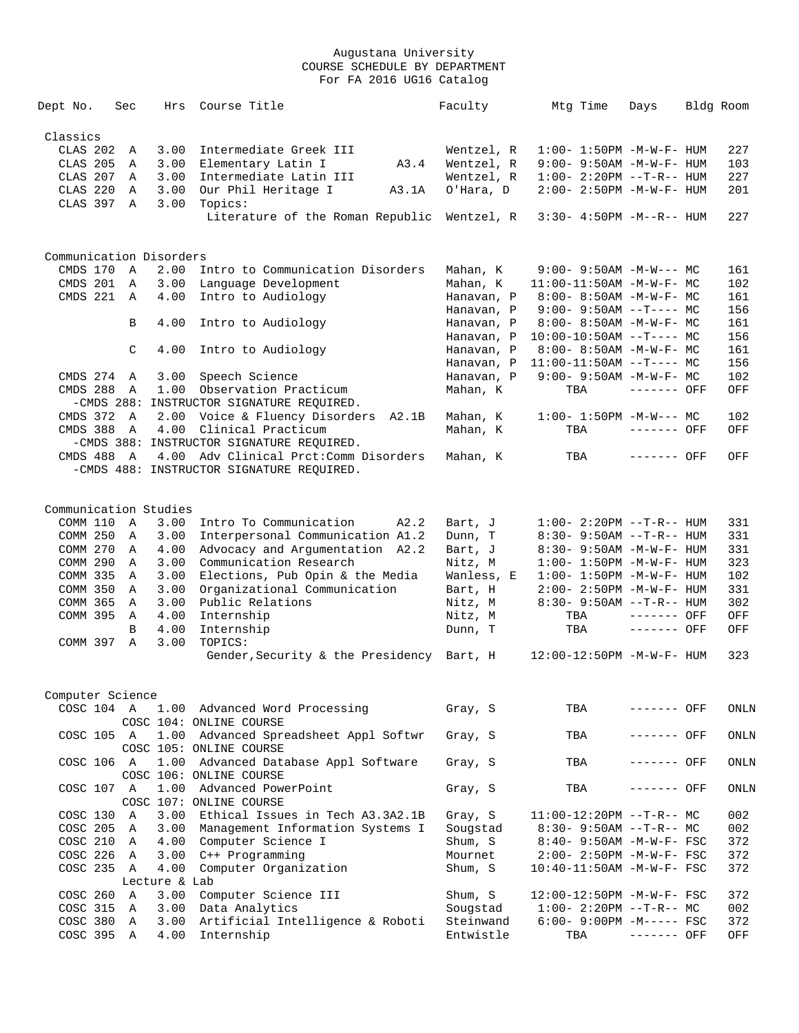| Dept No.                | Sec            | Hrs           | Course Title                                | Faculty    | Mtg Time                                                   | Days         | Bldg Room |
|-------------------------|----------------|---------------|---------------------------------------------|------------|------------------------------------------------------------|--------------|-----------|
| Classics                |                |               |                                             |            |                                                            |              |           |
| CLAS 202                | Α              | 3.00          | Intermediate Greek III                      | Wentzel, R | $1:00 - 1:50PM -M-W-F - HUM$                               |              | 227       |
| CLAS 205                | Α              | 3.00          | Elementary Latin I<br>A3.4                  | Wentzel, R | $9:00 - 9:50AM - M - W - F - HUM$                          |              | 103       |
| CLAS 207                | A              | 3.00          | Intermediate Latin III                      | Wentzel, R | $1:00 - 2:20PM -T-R--HUM$                                  |              | 227       |
| CLAS 220                | Α              | 3.00          | Our Phil Heritage I<br>A3.1A                | O'Hara, D  | 2:00- 2:50PM -M-W-F- HUM                                   |              | 201       |
|                         |                |               |                                             |            |                                                            |              |           |
| CLAS 397                | A              | 3.00          | Topics:<br>Literature of the Roman Republic | Wentzel, R | $3:30 - 4:50PM -M--R--HUM$                                 |              | 227       |
|                         |                |               |                                             |            |                                                            |              |           |
| Communication Disorders |                |               |                                             |            |                                                            |              |           |
| CMDS 170 A              |                | 2.00          | Intro to Communication Disorders            | Mahan, K   | $9:00 - 9:50AM - M-W--- MC$                                |              | 161       |
| CMDS 201                | A              | 3.00          | Language Development                        | Mahan, K   | 11:00-11:50AM -M-W-F- MC                                   |              | 102       |
| CMDS 221                | A              | 4.00          | Intro to Audiology                          | Hanavan, P | $8:00 - 8:50AM - M - W - F - MC$                           |              | 161       |
|                         |                |               |                                             | Hanavan, P | $9:00 - 9:50AM -T--- MC$                                   |              | 156       |
|                         | B              | 4.00          | Intro to Audiology                          | Hanavan, P | $8:00 - 8:50AM - M - W - F - MC$                           |              | 161       |
|                         |                |               |                                             | Hanavan, P | $10:00-10:50AM$ --T---- MC                                 |              | 156       |
|                         | C              | 4.00          | Intro to Audiology                          | Hanavan, P | $8:00 - 8:50AM - M - W - F - MC$                           |              | 161       |
|                         |                |               |                                             |            |                                                            |              | 156       |
|                         |                |               |                                             | Hanavan, P | $11:00-11:50AM$ --T---- MC<br>$9:00 - 9:50AM - M-W-F - MC$ |              |           |
| CMDS 274                | A              | 3.00          | Speech Science                              | Hanavan, P |                                                            |              | 102       |
| CMDS 288                | A              | 1.00          | Observation Practicum                       | Mahan, K   | TBA                                                        | ------- OFF  | OFF       |
|                         |                |               | -CMDS 288: INSTRUCTOR SIGNATURE REQUIRED.   |            |                                                            |              |           |
| CMDS 372 A              |                | 2.00          | Voice & Fluency Disorders A2.1B             | Mahan, K   | $1:00-1:50PM -M-W--- MC$                                   |              | 102       |
| CMDS 388                | A              |               | 4.00 Clinical Practicum                     | Mahan, K   | TBA                                                        | ------- OFF  | OFF       |
|                         |                |               | -CMDS 388: INSTRUCTOR SIGNATURE REQUIRED.   |            |                                                            |              |           |
| CMDS 488 A              |                |               | 4.00 Adv Clinical Prct: Comm Disorders      | Mahan, K   | TBA                                                        | ------- OFF  | OFF       |
|                         |                |               | -CMDS 488: INSTRUCTOR SIGNATURE REQUIRED.   |            |                                                            |              |           |
|                         |                |               |                                             |            |                                                            |              |           |
| Communication Studies   |                |               |                                             |            |                                                            |              |           |
| COMM 110 A              |                | 3.00          | Intro To Communication<br>A2.2              | Bart, J    | $1:00-2:20PM -T-R--HUM$                                    |              | 331       |
| COMM 250                | A              | 3.00          | Interpersonal Communication A1.2            | Dunn, T    | $8:30 - 9:50AM -T-R-- HUM$                                 |              | 331       |
| COMM 270                | A              | 4.00          | Advocacy and Argumentation A2.2             | Bart, J    | 8:30- 9:50AM -M-W-F- HUM                                   |              | 331       |
| COMM 290                | A              | 3.00          | Communication Research                      | Nitz, M    | $1:00 - 1:50PM - M - W - F - HUM$                          |              | 323       |
| COMM 335                | A              | 3.00          | Elections, Pub Opin & the Media             | Wanless, E | $1:00 - 1:50PM - M - W - F - HUM$                          |              | 102       |
| COMM 350                | A              | 3.00          | Organizational Communication                | Bart, H    | $2:00 - 2:50PM -M-W-F - HUM$                               |              | 331       |
| COMM 365                | A              | 3.00          | Public Relations                            | Nitz, M    | $8:30 - 9:50AM -T-R-- HUM$                                 |              | 302       |
| COMM 395                | A              | 4.00          | Internship                                  | Nitz, M    | TBA                                                        | $------$ OFF | OFF       |
|                         | B              | 4.00          | Internship                                  | Dunn, T    | TBA                                                        | ------- OFF  | OFF       |
| COMM 397                | $\mathbb{A}$   | 3.00          | TOPICS:                                     |            |                                                            |              |           |
|                         |                |               | Gender, Security & the Presidency Bart, H   |            | $12:00-12:50PM -M-W-F- HUM$                                |              | 323       |
|                         |                |               |                                             |            |                                                            |              |           |
| Computer Science        |                |               |                                             |            |                                                            |              |           |
| COSC 104 A              |                |               | 1.00 Advanced Word Processing               | Gray, S    | TBA                                                        | ------- OFF  | ONLN      |
|                         |                |               | COSC 104: ONLINE COURSE                     |            |                                                            |              |           |
| COSC 105 A              |                | 1.00          | Advanced Spreadsheet Appl Softwr            | Gray, S    | TBA                                                        | ------- OFF  | ONLN      |
|                         |                |               | COSC 105: ONLINE COURSE                     |            |                                                            |              |           |
| COSC 106 A              |                | 1.00          | Advanced Database Appl Software             | Gray, S    | TBA                                                        | ------- OFF  | ONLN      |
|                         |                |               | COSC 106: ONLINE COURSE                     |            |                                                            |              |           |
| COSC 107 A              |                | 1.00          | Advanced PowerPoint                         | Gray, S    | TBA                                                        | ------- OFF  | ONLN      |
|                         |                |               | COSC 107: ONLINE COURSE                     |            |                                                            |              |           |
| COSC 130                | $\overline{A}$ | 3.00          | Ethical Issues in Tech A3.3A2.1B            |            |                                                            |              | 002       |
|                         |                |               |                                             | Gray, S    | $11:00-12:20PM -T-R-- MC$                                  |              |           |
| COSC 205 A              |                | 3.00          | Management Information Systems I            | Sougstad   | $8:30 - 9:50AM -T-R-- MC$                                  |              | 002       |
| COSC 210 A              |                | 4.00          | Computer Science I                          | Shum, S    | $8:40 - 9:50AM - M-W-F - FSC$                              |              | 372       |
| COSC 226 A              |                | 3.00          | C++ Programming                             | Mournet    | $2:00 - 2:50PM - M - W - F - FSC$                          |              | 372       |
| COSC 235 A              |                | 4.00          | Computer Organization                       | Shum, S    | 10:40-11:50AM -M-W-F- FSC                                  |              | 372       |
|                         |                | Lecture & Lab |                                             |            |                                                            |              |           |
| COSC 260                | A              | 3.00          | Computer Science III                        | Shum, S    | 12:00-12:50PM -M-W-F- FSC                                  |              | 372       |
| COSC 315                | A              | 3.00          | Data Analytics                              | Sougstad   | $1:00-2:20PM -T-R--MC$                                     |              | 002       |
| COSC 380                | A              | 3.00          | Artificial Intelligence & Roboti            | Steinwand  | $6:00 - 9:00PM -M--- FSC$                                  |              | 372       |
| COSC 395 A              |                | 4.00          | Internship                                  | Entwistle  | TBA                                                        | ------- OFF  | OFF       |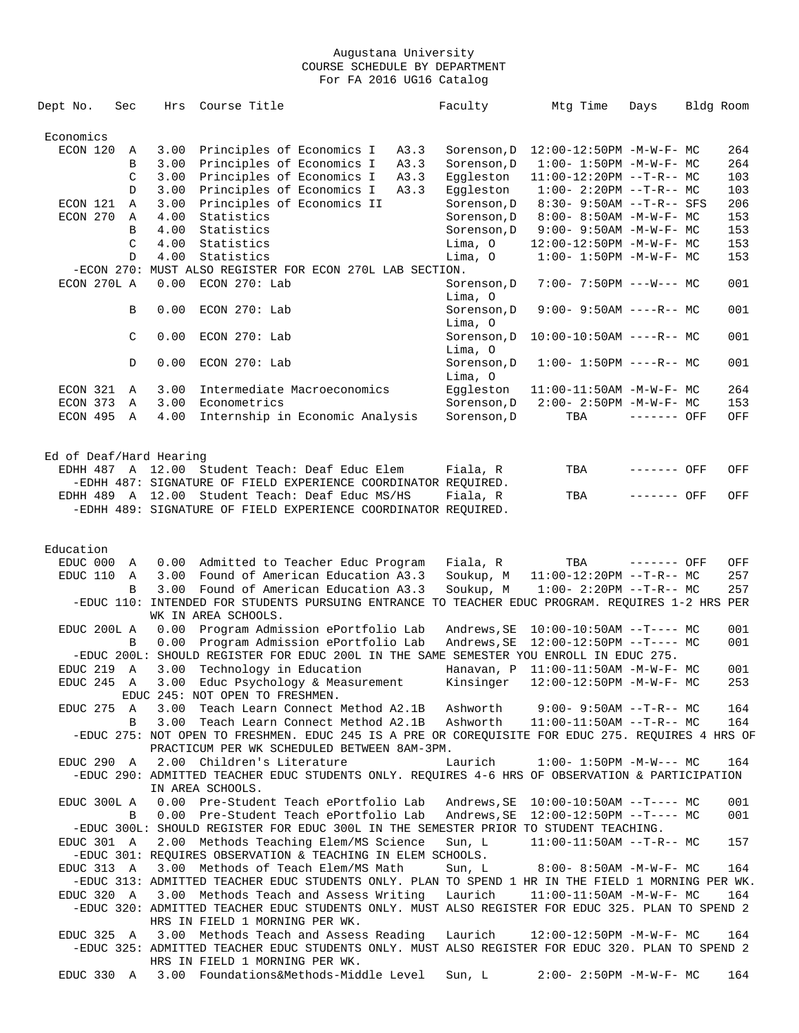| Dept No.                | Sec          | Hrs  | Course Title                                                                                      | Faculty             | Mtg Time                               | Days        | Bldg Room |     |
|-------------------------|--------------|------|---------------------------------------------------------------------------------------------------|---------------------|----------------------------------------|-------------|-----------|-----|
| Economics               |              |      |                                                                                                   |                     |                                        |             |           |     |
| ECON 120                | Α            | 3.00 | Principles of Economics I<br>A3.3                                                                 | Sorenson, D         | 12:00-12:50PM -M-W-F- MC               |             |           | 264 |
|                         | B            | 3.00 | Principles of Economics I                                                                         | A3.3<br>Sorenson, D | $1:00 - 1:50PM -M-W-F - MC$            |             |           | 264 |
|                         | C            | 3.00 | Principles of Economics I<br>A3.3                                                                 | Eqqleston           | $11:00-12:20PM --T-R--MC$              |             |           | 103 |
|                         | D            | 3.00 | Principles of Economics I<br>A3.3                                                                 | Eqqleston           | $1:00-2:20PM -T-R--MC$                 |             |           | 103 |
| ECON 121                | Α            | 3.00 | Principles of Economics II                                                                        | Sorenson, D         | $8:30 - 9:50AM -T-R-- SFS$             |             |           | 206 |
| ECON 270                | Α            | 4.00 | Statistics                                                                                        | Sorenson, D         | $8:00 - 8:50AM$ -M-W-F- MC             |             |           | 153 |
|                         |              |      |                                                                                                   |                     |                                        |             |           |     |
|                         | B            | 4.00 | Statistics                                                                                        | Sorenson, D         | 9:00- 9:50AM -M-W-F- MC                |             |           | 153 |
|                         | C            | 4.00 | Statistics                                                                                        | Lima, O             | 12:00-12:50PM -M-W-F- MC               |             |           | 153 |
|                         | $\mathbb{D}$ | 4.00 | Statistics                                                                                        | Lima, O             | $1:00 - 1:50PM - M - W - F - MC$       |             |           | 153 |
|                         |              |      | -ECON 270: MUST ALSO REGISTER FOR ECON 270L LAB SECTION.                                          |                     |                                        |             |           |     |
| ECON 270L A             |              | 0.00 | ECON 270: Lab                                                                                     | Sorenson, D         | $7:00 - 7:50PM$ ---W--- MC             |             |           | 001 |
|                         |              |      |                                                                                                   | Lima, O             |                                        |             |           |     |
|                         | B            | 0.00 | ECON 270: Lab                                                                                     | Sorenson, D         | $9:00 - 9:50AM$ ----R-- MC             |             |           | 001 |
|                         |              |      |                                                                                                   | Lima, O             |                                        |             |           |     |
|                         | C            | 0.00 | $ECON$ 270: Lab                                                                                   | Sorenson, D         | $10:00-10:50AM$ ----R-- MC             |             |           | 001 |
|                         |              |      |                                                                                                   | Lima, O             |                                        |             |           |     |
|                         | D            | 0.00 | $ECON$ 270: Lab                                                                                   | Sorenson, D         | $1:00-1:50PM$ ----R-- MC               |             |           | 001 |
|                         |              |      |                                                                                                   | Lima, O             |                                        |             |           |     |
| ECON 321                | Α            | 3.00 | Intermediate Macroeconomics                                                                       | Eqqleston           | 11:00-11:50AM -M-W-F- MC               |             |           | 264 |
| ECON 373                | Α            | 3.00 | Econometrics                                                                                      | Sorenson, D         | $2:00 - 2:50PM -M-W-F - MC$            |             |           | 153 |
| ECON 495                | A            | 4.00 | Internship in Economic Analysis                                                                   | Sorenson, D         | TBA                                    | ------- OFF |           | OFF |
|                         |              |      |                                                                                                   |                     |                                        |             |           |     |
|                         |              |      |                                                                                                   |                     |                                        |             |           |     |
| Ed of Deaf/Hard Hearing |              |      |                                                                                                   |                     |                                        |             |           |     |
|                         |              |      | EDHH 487 A 12.00 Student Teach: Deaf Educ Elem                                                    | Fiala, R            | TBA                                    | ------- OFF |           | OFF |
|                         |              |      | -EDHH 487: SIGNATURE OF FIELD EXPERIENCE COORDINATOR REQUIRED.                                    |                     |                                        |             |           |     |
|                         |              |      | EDHH 489 A 12.00 Student Teach: Deaf Educ MS/HS                                                   | Fiala, R            | TBA                                    | ------- OFF |           | OFF |
|                         |              |      | -EDHH 489: SIGNATURE OF FIELD EXPERIENCE COORDINATOR REQUIRED.                                    |                     |                                        |             |           |     |
|                         |              |      |                                                                                                   |                     |                                        |             |           |     |
|                         |              |      |                                                                                                   |                     |                                        |             |           |     |
| Education               |              |      |                                                                                                   |                     |                                        |             |           |     |
| EDUC 000                | A            |      | 0.00 Admitted to Teacher Educ Program                                                             | Fiala, R            | TBA                                    | ------- OFF |           | OFF |
| EDUC 110                | A            | 3.00 | Found of American Education A3.3                                                                  | Soukup, M           | $11:00-12:20PM$ --T-R-- MC             |             |           | 257 |
|                         | В            | 3.00 | Found of American Education A3.3                                                                  | Soukup, M           | $1:00-2:20PM -T-R--MC$                 |             |           | 257 |
|                         |              |      | -EDUC 110: INTENDED FOR STUDENTS PURSUING ENTRANCE TO TEACHER EDUC PROGRAM. REQUIRES 1-2 HRS PER  |                     |                                        |             |           |     |
|                         |              |      | WK IN AREA SCHOOLS.                                                                               |                     |                                        |             |           |     |
| EDUC 200L A             |              | 0.00 | Program Admission ePortfolio Lab                                                                  | Andrews, SE         | $10:00-10:50AM$ --T---- MC             |             |           | 001 |
|                         | B            | 0.00 | Program Admission ePortfolio Lab                                                                  | Andrews, SE         | $12:00-12:50PM$ --T---- MC             |             |           | 001 |
|                         |              |      | -EDUC 200L: SHOULD REGISTER FOR EDUC 200L IN THE SAME SEMESTER YOU ENROLL IN EDUC 275.            |                     |                                        |             |           |     |
| EDUC 219                | A            | 3.00 | Technology in Education                                                                           | Hanavan, P          | $11:00-11:50AM$ -M-W-F- MC             |             |           | 001 |
| EDUC 245                | Α            | 3.00 | Educ Psychology & Measurement                                                                     | Kinsinger           | 12:00-12:50PM -M-W-F- MC               |             |           | 253 |
|                         |              |      | EDUC 245: NOT OPEN TO FRESHMEN.                                                                   |                     |                                        |             |           |     |
| EDUC 275 A              |              |      | 3.00 Teach Learn Connect Method A2.1B Ashworth 9:00-9:50AM --T-R-- MC                             |                     |                                        |             |           | 164 |
|                         | B            |      | 3.00 Teach Learn Connect Method A2.1B                                                             |                     | $Ashworth$ $11:00-11:50AM$ $--T-R--MC$ |             |           | 164 |
|                         |              |      | -EDUC 275: NOT OPEN TO FRESHMEN. EDUC 245 IS A PRE OR COREQUISITE FOR EDUC 275. REQUIRES 4 HRS OF |                     |                                        |             |           |     |
|                         |              |      | PRACTICUM PER WK SCHEDULED BETWEEN 8AM-3PM.                                                       |                     |                                        |             |           |     |
| EDUC 290 A              |              |      | 2.00 Children's Literature                                                                        | Laurich             | $1:00-1:50PM -M-W--- MC$               |             |           | 164 |
|                         |              |      | -EDUC 290: ADMITTED TEACHER EDUC STUDENTS ONLY. REQUIRES 4-6 HRS OF OBSERVATION & PARTICIPATION   |                     |                                        |             |           |     |
|                         |              |      | IN AREA SCHOOLS.                                                                                  |                     |                                        |             |           |     |
| EDUC 300L A             |              |      | 0.00 Pre-Student Teach ePortfolio Lab                                                             |                     |                                        |             |           | 001 |
|                         | B            |      | 0.00 Pre-Student Teach ePortfolio Lab                                                             |                     |                                        |             |           | 001 |
|                         |              |      | -EDUC 300L: SHOULD REGISTER FOR EDUC 300L IN THE SEMESTER PRIOR TO STUDENT TEACHING.              |                     |                                        |             |           |     |
| EDUC 301 A              |              |      | 2.00 Methods Teaching Elem/MS Science                                                             | Sun, L              | $11:00-11:50AM$ --T-R-- MC             |             |           | 157 |
|                         |              |      | -EDUC 301: REQUIRES OBSERVATION & TEACHING IN ELEM SCHOOLS.                                       |                     |                                        |             |           |     |
| EDUC 313 A              |              |      | 3.00 Methods of Teach Elem/MS Math                                                                |                     | Sun, L 8:00-8:50AM -M-W-F- MC          |             |           | 164 |
|                         |              |      | -EDUC 313: ADMITTED TEACHER EDUC STUDENTS ONLY. PLAN TO SPEND 1 HR IN THE FIELD 1 MORNING PER WK. |                     |                                        |             |           |     |
|                         |              |      |                                                                                                   |                     |                                        |             |           |     |
| EDUC 320 A              |              |      | 3.00 Methods Teach and Assess Writing                                                             | Laurich             | $11:00-11:50AM$ -M-W-F- MC             |             |           | 164 |
|                         |              |      | -EDUC 320: ADMITTED TEACHER EDUC STUDENTS ONLY. MUST ALSO REGISTER FOR EDUC 325. PLAN TO SPEND 2  |                     |                                        |             |           |     |
|                         |              |      | HRS IN FIELD 1 MORNING PER WK.                                                                    |                     |                                        |             |           |     |
| EDUC 325 A              |              |      | 3.00 Methods Teach and Assess Reading                                                             | Laurich             | 12:00-12:50PM -M-W-F- MC               |             |           | 164 |
|                         |              |      | -EDUC 325: ADMITTED TEACHER EDUC STUDENTS ONLY. MUST ALSO REGISTER FOR EDUC 320. PLAN TO SPEND 2  |                     |                                        |             |           |     |
|                         |              |      | HRS IN FIELD 1 MORNING PER WK.                                                                    |                     |                                        |             |           |     |
|                         |              |      | EDUC 330 A 3.00 Foundations&Methods-Middle Level                                                  | Sun, L              | $2:00 - 2:50PM -M-W-F - MC$            |             |           | 164 |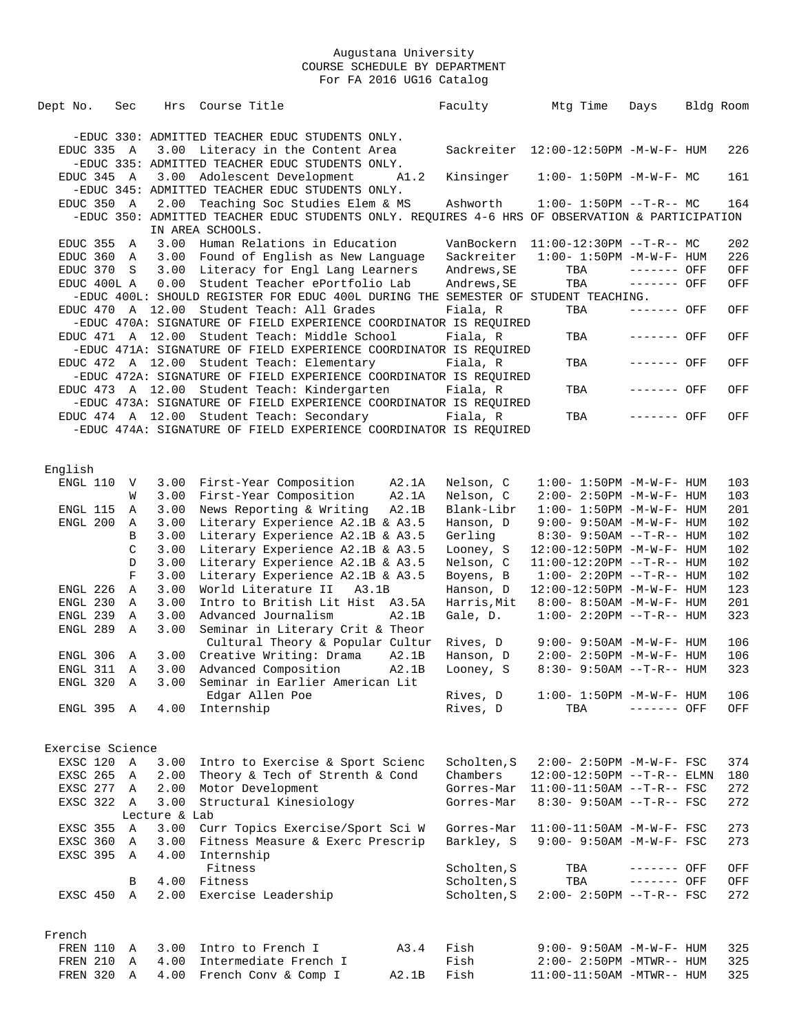| Dept No.         | Sec         | Hrs           | Course Title                                                                                    |                | Faculty                    | Mtg Time                                                          | Days         | Bldg Room |            |
|------------------|-------------|---------------|-------------------------------------------------------------------------------------------------|----------------|----------------------------|-------------------------------------------------------------------|--------------|-----------|------------|
|                  |             |               |                                                                                                 |                |                            |                                                                   |              |           |            |
|                  |             |               | -EDUC 330: ADMITTED TEACHER EDUC STUDENTS ONLY.                                                 |                |                            |                                                                   |              |           |            |
| EDUC 335 A       |             |               | 3.00 Literacy in the Content Area<br>-EDUC 335: ADMITTED TEACHER EDUC STUDENTS ONLY.            |                |                            | Sackreiter 12:00-12:50PM -M-W-F- HUM                              |              |           | 226        |
| EDUC 345 A       |             |               | 3.00 Adolescent Development                                                                     | A1.2           | Kinsinger                  | $1:00 - 1:50PM - M - W - F - MC$                                  |              |           | 161        |
|                  |             |               | -EDUC 345: ADMITTED TEACHER EDUC STUDENTS ONLY.                                                 |                |                            |                                                                   |              |           |            |
| EDUC 350 A       |             |               | 2.00 Teaching Soc Studies Elem & MS                                                             |                | Ashworth                   | $1:00 - 1:50PM -T-R-- MC$                                         |              |           | 164        |
|                  |             |               | -EDUC 350: ADMITTED TEACHER EDUC STUDENTS ONLY. REQUIRES 4-6 HRS OF OBSERVATION & PARTICIPATION |                |                            |                                                                   |              |           |            |
|                  |             |               | IN AREA SCHOOLS.                                                                                |                |                            |                                                                   |              |           |            |
| EDUC 355         | A           |               | 3.00 Human Relations in Education                                                               |                |                            | VanBockern $11:00-12:30PM -T-R--MC$                               |              |           | 202        |
| EDUC 360         | A           |               | 3.00 Found of English as New Language                                                           |                | Sackreiter                 | $1:00 - 1:50PM -M -W -F - HUM$                                    |              |           | 226        |
| EDUC 370 S       |             | 3.00          | Literacy for Engl Lang Learners                                                                 |                | Andrews, SE                | TBA                                                               | $------$ OFF |           | OFF        |
| EDUC 400L A      |             | 0.00          | Student Teacher ePortfolio Lab                                                                  |                | Andrews, SE                | TBA                                                               | ------- OFF  |           | OFF        |
|                  |             |               | -EDUC 400L: SHOULD REGISTER FOR EDUC 400L DURING THE SEMESTER OF STUDENT TEACHING.              |                |                            |                                                                   |              |           |            |
|                  |             |               | EDUC 470 A 12.00 Student Teach: All Grades                                                      |                | Fiala, R                   | TBA                                                               | ------- OFF  |           | OFF        |
|                  |             |               | -EDUC 470A: SIGNATURE OF FIELD EXPERIENCE COORDINATOR IS REQUIRED                               |                |                            |                                                                   |              |           |            |
|                  |             |               | EDUC 471 A 12.00 Student Teach: Middle School                                                   |                | Fiala, R                   | TBA                                                               | ------- OFF  |           | OFF        |
| EDUC 472 A 12.00 |             |               | -EDUC 471A: SIGNATURE OF FIELD EXPERIENCE COORDINATOR IS REQUIRED<br>Student Teach: Elementary  |                | Fiala, R                   | TBA                                                               | ------- OFF  |           | OFF        |
|                  |             |               | -EDUC 472A: SIGNATURE OF FIELD EXPERIENCE COORDINATOR IS REQUIRED                               |                |                            |                                                                   |              |           |            |
|                  |             |               | EDUC 473 A 12.00 Student Teach: Kindergarten                                                    |                | Fiala, R                   | TBA                                                               | ------- OFF  |           | OFF        |
|                  |             |               | -EDUC 473A: SIGNATURE OF FIELD EXPERIENCE COORDINATOR IS REQUIRED                               |                |                            |                                                                   |              |           |            |
|                  |             |               | EDUC 474 A 12.00 Student Teach: Secondary                                                       |                | Fiala, R                   | TBA                                                               | ------- OFF  |           | OFF        |
|                  |             |               | -EDUC 474A: SIGNATURE OF FIELD EXPERIENCE COORDINATOR IS REQUIRED                               |                |                            |                                                                   |              |           |            |
|                  |             |               |                                                                                                 |                |                            |                                                                   |              |           |            |
|                  |             |               |                                                                                                 |                |                            |                                                                   |              |           |            |
| English          |             |               |                                                                                                 |                |                            |                                                                   |              |           |            |
| ENGL 110         | $\mathbf V$ | 3.00          | First-Year Composition                                                                          | A2.1A          | Nelson, C                  | $1:00 - 1:50PM - M - W - F - HUM$                                 |              |           | 103        |
| ENGL 115         | W<br>A      | 3.00<br>3.00  | First-Year Composition<br>News Reporting & Writing                                              | A2.1A<br>A2.1B | Nelson, C<br>Blank-Libr    | $2:00 - 2:50PM -M-W-F - HUM$<br>$1:00 - 1:50PM - M - W - F - HUM$ |              |           | 103<br>201 |
| ENGL 200         | Α           | 3.00          | Literary Experience A2.1B & A3.5                                                                |                | Hanson, D                  | $9:00 - 9:50AM - M - W - F - HUM$                                 |              |           | 102        |
|                  | B           | 3.00          | Literary Experience A2.1B & A3.5                                                                |                | Gerling                    | $8:30 - 9:50AM$ --T-R-- HUM                                       |              |           | 102        |
|                  | C           | 3.00          | Literary Experience A2.1B & A3.5                                                                |                | Looney, S                  | 12:00-12:50PM -M-W-F- HUM                                         |              |           | 102        |
|                  | D           | 3.00          | Literary Experience A2.1B & A3.5                                                                |                | Nelson, C                  | $11:00-12:20PM -T-R--HUM$                                         |              |           | 102        |
|                  | F           | 3.00          | Literary Experience A2.1B & A3.5                                                                |                | Boyens, B                  | $1:00 - 2:20PM -T-R--HUM$                                         |              |           | 102        |
| ENGL 226         | Α           | 3.00          | World Literature II<br>A3.1B                                                                    |                | Hanson, D                  | 12:00-12:50PM -M-W-F- HUM                                         |              |           | 123        |
| ENGL 230         | $\mathbb A$ | 3.00          | Intro to British Lit Hist A3.5A                                                                 |                | Harris, Mit                | $8:00 - 8:50AM - M - W - F - HUM$                                 |              |           | 201        |
| ENGL 239         | Α           | 3.00          | Advanced Journalism                                                                             | A2.1B          | Gale, D.                   | $1:00 - 2:20PM -T-R--HUM$                                         |              |           | 323        |
| ENGL 289         | Α           | 3.00          | Seminar in Literary Crit & Theor                                                                |                |                            |                                                                   |              |           |            |
|                  |             |               | Cultural Theory & Popular Cultur                                                                |                | Rives, D                   | 9:00- 9:50AM -M-W-F- HUM                                          |              |           | 106        |
| ENGL 306         | A           | 3.00          | Creative Writing: Drama                                                                         | A2.1B          | Hanson, D                  | 2:00- 2:50PM -M-W-F- HUM                                          |              |           | 106        |
| ENGL 311         | Α           | 3.00          | Advanced Composition                                                                            | A2.1B          | Looney, S                  | 8:30- 9:50AM --T-R-- HUM                                          |              |           | 323        |
| ENGL 320         | Α           | 3.00          | Seminar in Earlier American Lit                                                                 |                |                            |                                                                   |              |           |            |
| ENGL 395 A       |             | 4.00          | Edgar Allen Poe<br>Internship                                                                   |                | Rives, D<br>Rives, D       | $1:00 - 1:50PM - M - W - F - HUM$<br>TBA                          | ------- OFF  |           | 106<br>OFF |
|                  |             |               |                                                                                                 |                |                            |                                                                   |              |           |            |
|                  |             |               |                                                                                                 |                |                            |                                                                   |              |           |            |
| Exercise Science |             |               |                                                                                                 |                |                            |                                                                   |              |           |            |
| EXSC 120         | Α           | 3.00          | Intro to Exercise & Sport Scienc                                                                |                | Scholten, S                | $2:00 - 2:50PM -M-W-F - FSC$                                      |              |           | 374        |
| EXSC 265         | Α           | 2.00          | Theory & Tech of Strenth & Cond                                                                 |                | Chambers                   | $12:00-12:50PM -T-R-- ELMN$                                       |              |           | 180        |
| EXSC 277         | Α           | 2.00          | Motor Development                                                                               |                | Gorres-Mar                 | $11:00-11:50AM$ --T-R-- FSC                                       |              |           | 272        |
| EXSC 322         | Α           | 3.00          | Structural Kinesiology                                                                          |                | Gorres-Mar                 | $8:30 - 9:50AM -T-R--FSC$                                         |              |           | 272        |
|                  |             | Lecture & Lab |                                                                                                 |                |                            |                                                                   |              |           |            |
| EXSC 355         | A           | 3.00          | Curr Topics Exercise/Sport Sci W                                                                |                | Gorres-Mar                 | $11:00-11:50AM$ -M-W-F- FSC                                       |              |           | 273        |
| EXSC 360         | Α           | 3.00          | Fitness Measure & Exerc Prescrip                                                                |                | Barkley, S                 | 9:00- 9:50AM -M-W-F- FSC                                          |              |           | 273        |
| EXSC 395         | Α           | 4.00          | Internship                                                                                      |                |                            |                                                                   |              |           |            |
|                  |             |               | Fitness                                                                                         |                | Scholten, S                | TBA                                                               | ------- OFF  |           | OFF        |
| EXSC 450         | В<br>A      | 4.00<br>2.00  | Fitness<br>Exercise Leadership                                                                  |                | Scholten, S<br>Scholten, S | TBA<br>$2:00 - 2:50PM -T-R--FSC$                                  | ------- OFF  |           | OFF<br>272 |
|                  |             |               |                                                                                                 |                |                            |                                                                   |              |           |            |
|                  |             |               |                                                                                                 |                |                            |                                                                   |              |           |            |
| French           |             |               |                                                                                                 |                |                            |                                                                   |              |           |            |
| FREN 110         | Α           | 3.00          | Intro to French I                                                                               | A3.4           | Fish                       | $9:00 - 9:50AM - M - W - F - HUM$                                 |              |           | 325        |
| FREN 210         | Α           | 4.00          | Intermediate French I                                                                           |                | Fish                       | $2:00 - 2:50PM - MTWR - - HUM$                                    |              |           | 325        |
| FREN 320         | Α           | 4.00          | French Conv & Comp I                                                                            | A2.1B          | Fish                       | 11:00-11:50AM -MTWR-- HUM                                         |              |           | 325        |
|                  |             |               |                                                                                                 |                |                            |                                                                   |              |           |            |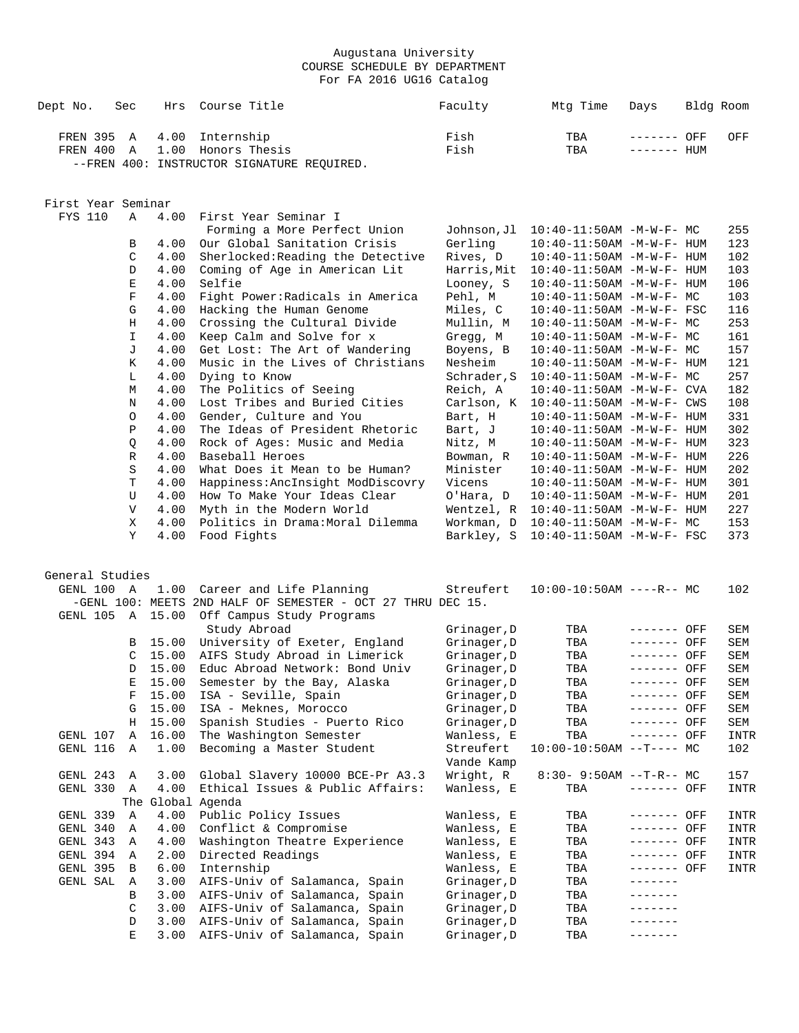| Dept No.               | Sec               | Hrs               | Course Title                                                          | Faculty                    | Mtg Time                                                     | Days                       | Bldg Room          |
|------------------------|-------------------|-------------------|-----------------------------------------------------------------------|----------------------------|--------------------------------------------------------------|----------------------------|--------------------|
| FREN 395 A<br>FREN 400 | Α                 | 4.00              | Internship<br>1.00 Honors Thesis                                      | Fish<br>Fish               | TBA<br>TBA                                                   | ------- OFF<br>------- HUM | OFF                |
|                        |                   |                   | --FREN 400: INSTRUCTOR SIGNATURE REQUIRED.                            |                            |                                                              |                            |                    |
|                        |                   |                   |                                                                       |                            |                                                              |                            |                    |
| First Year Seminar     |                   |                   |                                                                       |                            |                                                              |                            |                    |
| <b>FYS 110</b>         | $\mathbb{A}$      | 4.00              | First Year Seminar I<br>Forming a More Perfect Union                  | Johnson,Jl                 | 10:40-11:50AM -M-W-F- MC                                     |                            | 255                |
|                        | B                 | 4.00              | Our Global Sanitation Crisis                                          | Gerling                    | $10:40 - 11:50AM$ -M-W-F- HUM                                |                            | 123                |
|                        | C                 | 4.00              | Sherlocked: Reading the Detective                                     | Rives, D                   | $10:40 - 11:50AM$ -M-W-F- HUM                                |                            | 102                |
|                        | D                 | 4.00              | Coming of Age in American Lit                                         | Harris, Mit                | $10:40 - 11:50AM$ -M-W-F- HUM                                |                            | 103                |
|                        | E                 | 4.00              | Selfie                                                                | Looney, S                  | $10:40 - 11:50AM$ -M-W-F- HUM                                |                            | 106                |
|                        | $\mathbf F$       | 4.00              | Fight Power: Radicals in America                                      | Pehl, M                    | $10:40-11:50AM$ -M-W-F- MC                                   |                            | 103                |
|                        | G                 | 4.00              | Hacking the Human Genome                                              | Miles, C                   | 10:40-11:50AM -M-W-F- FSC                                    |                            | 116<br>253         |
|                        | $\rm H$<br>I      | 4.00<br>4.00      | Crossing the Cultural Divide<br>Keep Calm and Solve for x             | Mullin, M<br>Gregg, M      | $10:40 - 11:50AM$ -M-W-F- MC<br>$10:40 - 11:50AM$ -M-W-F- MC |                            | 161                |
|                        | J                 | 4.00              | Get Lost: The Art of Wandering                                        | Boyens, B                  | 10:40-11:50AM -M-W-F- MC                                     |                            | 157                |
|                        | K                 | 4.00              | Music in the Lives of Christians                                      | Nesheim                    | $10:40 - 11:50AM$ -M-W-F- HUM                                |                            | 121                |
|                        | L                 | 4.00              | Dying to Know                                                         | Schrader, S                | $10:40-11:50AM$ -M-W-F- MC                                   |                            | 257                |
|                        | M                 | 4.00              | The Politics of Seeing                                                | Reich, A                   | $10:40 - 11:50AM$ -M-W-F- CVA                                |                            | 182                |
|                        | Ν                 | 4.00              | Lost Tribes and Buried Cities                                         | Carlson, K                 | $10:40-11:50AM$ $-M-W-F-$ CWS                                |                            | 108                |
|                        | O                 | 4.00              | Gender, Culture and You                                               | Bart, H                    | $10:40 - 11:50AM$ -M-W-F- HUM                                |                            | 331                |
|                        | $\, {\bf P}$<br>Q | 4.00<br>4.00      | The Ideas of President Rhetoric<br>Rock of Ages: Music and Media      | Bart, J<br>Nitz, M         | $10:40 - 11:50AM$ -M-W-F- HUM<br>10:40-11:50AM -M-W-F- HUM   |                            | 302<br>323         |
|                        | R                 | 4.00              | Baseball Heroes                                                       | Bowman, R                  | $10:40 - 11:50AM$ -M-W-F- HUM                                |                            | 226                |
|                        | S                 | 4.00              | What Does it Mean to be Human?                                        | Minister                   | $10:40 - 11:50AM$ -M-W-F- HUM                                |                            | 202                |
|                        | T                 | 4.00              | Happiness: AncInsight ModDiscovry                                     | Vicens                     | $10:40 - 11:50AM$ -M-W-F- HUM                                |                            | 301                |
|                        | U                 | 4.00              | How To Make Your Ideas Clear                                          | O'Hara, D                  | $10:40 - 11:50AM$ -M-W-F- HUM                                |                            | 201                |
|                        | V                 | 4.00              | Myth in the Modern World                                              |                            | Wentzel, $R$ 10:40-11:50AM -M-W-F- HUM                       |                            | 227                |
|                        | Χ<br>Υ            | 4.00              | Politics in Drama: Moral Dilemma                                      | Workman, D                 | $10:40-11:50AM$ -M-W-F- MC                                   |                            | 153                |
|                        |                   | 4.00              | Food Fights                                                           | Barkley, S                 | $10:40-11:50AM$ -M-W-F- FSC                                  |                            | 373                |
| General Studies        |                   |                   |                                                                       |                            |                                                              |                            |                    |
| GENL 100 A             |                   |                   | 1.00 Career and Life Planning                                         | Streufert                  | $10:00-10:50AM$ ----R-- MC                                   |                            | 102                |
|                        |                   |                   | -GENL 100: MEETS 2ND HALF OF SEMESTER - OCT 27 THRU DEC 15.           |                            |                                                              |                            |                    |
|                        |                   |                   | GENL 105 A 15.00 Off Campus Study Programs                            |                            |                                                              |                            |                    |
|                        |                   |                   | Study Abroad                                                          | Grinager, D                | TBA                                                          | ------- OFF                | SEM                |
|                        | В                 |                   | 15.00 University of Exeter, England                                   | Grinager, D                | TBA                                                          | ------- OFF                | SEM                |
|                        | C                 | 15.00             | AIFS Study Abroad in Limerick<br>15.00 Educ Abroad Network: Bond Univ | Grinager, D                | TBA                                                          | ------- OFF<br>------- OFF | SEM                |
|                        | D                 |                   | E 15.00 Semester by the Bay, Alaska                                   | Grinager, D<br>Grinager, D | TBA<br>TBA                                                   | ------- OFF                | SEM<br>${\tt SEM}$ |
|                        |                   |                   | 15.00 ISA - Seville, Spain                                            | Grinager,D                 | TBA                                                          | ------- OFF                | SEM                |
|                        | G                 |                   | 15.00 ISA - Meknes, Morocco                                           | Grinager, D                | TBA                                                          | ------- OFF                | SEM                |
|                        | Н                 |                   | 15.00 Spanish Studies - Puerto Rico                                   | Grinager, D                | TBA                                                          | ------- OFF                | SEM                |
| GENL 107               | Α                 | 16.00             | The Washington Semester                                               | Wanless, E                 | TBA                                                          | ------- OFF                | INTR               |
| GENL 116               | Α                 | 1.00              | Becoming a Master Student                                             | Streufert                  | $10:00-10:50AM$ --T---- MC                                   |                            | 102                |
|                        |                   |                   |                                                                       | Vande Kamp                 |                                                              |                            |                    |
| GENL 243<br>GENL 330   | Α<br>A            | 3.00<br>4.00      | Global Slavery 10000 BCE-Pr A3.3<br>Ethical Issues & Public Affairs:  | Wright, R<br>Wanless, E    | $8:30 - 9:50AM -T-R-- MC$<br>TBA                             | ------- OFF                | 157<br>INTR        |
|                        |                   | The Global Agenda |                                                                       |                            |                                                              |                            |                    |
| GENL 339               | Α                 | 4.00              | Public Policy Issues                                                  | Wanless, E                 | TBA                                                          | ------- OFF                | INTR               |
| GENL 340               | Α                 | 4.00              | Conflict & Compromise                                                 | Wanless, E                 | TBA                                                          | ------- OFF                | INTR               |
| GENL 343               | Α                 | 4.00              | Washington Theatre Experience                                         | Wanless, E                 | TBA                                                          | ------- OFF                | INTR               |
| GENL 394               | Α                 | 2.00              | Directed Readings                                                     | Wanless, E                 | TBA                                                          | ------- OFF                | INTR               |
| GENL 395               | В                 | 6.00              | Internship                                                            | Wanless, E                 | TBA                                                          | ------- OFF                | INTR               |
| GENL SAL               | Α<br>В            | 3.00<br>3.00      | AIFS-Univ of Salamanca, Spain<br>AIFS-Univ of Salamanca, Spain        | Grinager, D<br>Grinager, D | TBA<br>TBA                                                   | -------<br>-------         |                    |
|                        | C                 | 3.00              | AIFS-Univ of Salamanca, Spain                                         | Grinager, D                | TBA                                                          | -------                    |                    |
|                        | D                 | 3.00              | AIFS-Univ of Salamanca, Spain                                         | Grinager, D                | TBA                                                          |                            |                    |
|                        | Е                 |                   | 3.00 AIFS-Univ of Salamanca, Spain                                    | Grinager, D                | TBA                                                          | $------$                   |                    |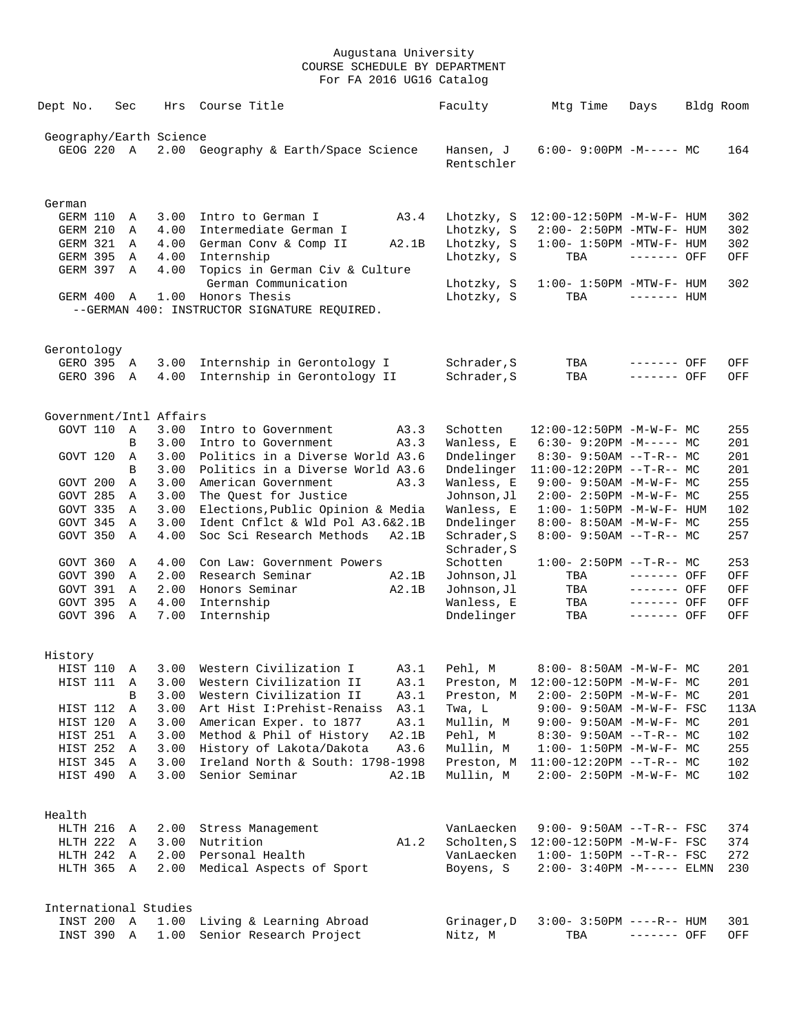| Dept No.                | Sec |              | Hrs          | Course Title                                           | Faculty                    | Mtg Time                          | Days                       | Bldg Room |            |
|-------------------------|-----|--------------|--------------|--------------------------------------------------------|----------------------------|-----------------------------------|----------------------------|-----------|------------|
| Geography/Earth Science |     |              |              |                                                        |                            |                                   |                            |           |            |
| GEOG 220 A              |     |              |              | 2.00 Geography & Earth/Space Science                   | Hansen, J<br>Rentschler    | $6:00-9:00PM -M--- MC$            |                            |           | 164        |
| German                  |     |              |              |                                                        |                            |                                   |                            |           |            |
| GERM 110                |     | Α            | 3.00         | Intro to German I<br>A3.4                              | Lhotzky, S                 | 12:00-12:50PM -M-W-F- HUM         |                            |           | 302        |
| GERM 210                |     | Α            | 4.00         | Intermediate German I                                  | Lhotzky, S                 | $2:00 - 2:50PM -MTW-F - HUM$      |                            |           | 302        |
| GERM 321                |     | A            | 4.00         | German Conv & Comp II<br>A2.1B                         | Lhotzky, S                 | $1:00-1:50PM -MTW-F-HUM$          |                            |           | 302        |
| GERM 395                |     | Α            | 4.00         | Internship                                             | Lhotzky, S                 | TBA                               | $------$ OFF               |           | OFF        |
| GERM 397                |     | Α            | 4.00         | Topics in German Civ & Culture<br>German Communication | Lhotzky, S                 | $1:00-1:50PM -MTW-F-HUM$          |                            |           | 302        |
| GERM 400                |     | A            |              | 1.00 Honors Thesis                                     | Lhotzky, S                 | TBA                               | $------$ HUM               |           |            |
|                         |     |              |              | --GERMAN 400: INSTRUCTOR SIGNATURE REQUIRED.           |                            |                                   |                            |           |            |
| Gerontology             |     |              |              |                                                        |                            |                                   |                            |           |            |
| GERO 395 A              |     |              | 3.00         | Internship in Gerontology I                            | Schrader, S                | TBA                               | ------- OFF                |           | OFF        |
| GERO 396                |     | A            | 4.00         | Internship in Gerontology II                           | Schrader, S                | TBA                               | ------- OFF                |           | OFF.       |
| Government/Intl Affairs |     |              |              |                                                        |                            |                                   |                            |           |            |
| GOVT 110                |     | A            | 3.00         | Intro to Government<br>A3.3                            | Schotten                   | 12:00-12:50PM -M-W-F- MC          |                            |           | 255        |
|                         |     | B            | 3.00         | Intro to Government<br>A3.3                            | Wanless, E                 | $6:30 - 9:20PM -M--- MC$          |                            |           | 201        |
| GOVT 120                |     | Α            | 3.00         | Politics in a Diverse World A3.6                       | Dndelinger                 | $8:30-9:50AM --T-R--MC$           |                            |           | 201        |
|                         |     | B            | 3.00         | Politics in a Diverse World A3.6                       | Dndelinger                 | $11:00-12:20PM --T-R--MC$         |                            |           | 201        |
| GOVT 200                |     | Α            | 3.00         | American Government<br>A3.3                            | Wanless, E                 | $9:00 - 9:50AM - M - W - F - MC$  |                            |           | 255        |
| GOVT 285                |     | Α            | 3.00         | The Quest for Justice                                  | Johnson, Jl                | 2:00- 2:50PM -M-W-F- MC           |                            |           | 255        |
| GOVT 335                |     | Α            | 3.00         | Elections, Public Opinion & Media                      | Wanless, E                 | $1:00 - 1:50PM - M - W - F - HUM$ |                            |           | 102        |
| GOVT 345                |     | Α            | 3.00         | Ident Cnflct & Wld Pol A3.6&2.1B                       | Dndelinger                 | $8:00 - 8:50AM - M - W - F - MC$  |                            |           | 255        |
| GOVT 350                |     | Α            | 4.00         | Soc Sci Research Methods<br>A2.1B                      | Schrader, S<br>Schrader, S | $8:00 - 9:50AM -T-R--MC$          |                            |           | 257        |
| GOVT 360                |     | A            | 4.00         | Con Law: Government Powers                             | Schotten                   | $1:00-2:50PM -T-R--MC$            |                            |           | 253        |
| GOVT 390                |     | Α            | 2.00         | Research Seminar<br>A2.1B                              | Johnson, Jl                | TBA                               | ------- OFF                |           | OFF        |
| GOVT 391                |     | Α            | 2.00         | Honors Seminar<br>A2.1B                                | Johnson, Jl                | TBA                               | ------- OFF                |           | OFF        |
| GOVT 395<br>GOVT 396    |     | Α<br>A       | 4.00<br>7.00 | Internship<br>Internship                               | Wanless, E<br>Dndelinger   | TBA<br>TBA                        | $-----$ OFF<br>$-----$ OFF |           | OFF<br>OFF |
| History                 |     |              |              |                                                        |                            |                                   |                            |           |            |
| HIST 110                |     | Α            | 3.00         | Western Civilization I<br>A3.1                         | Pehl, M                    | $8:00 - 8:50AM$ -M-W-F- MC        |                            |           | 201        |
| HIST 111                |     | Α            | 3.00         | Western Civilization II<br>A3.1                        | Preston, M                 | 12:00-12:50PM -M-W-F- MC          |                            |           | 201        |
|                         |     | $\, {\bf B}$ | 3.00         | Western Civilization II<br>A3.1                        | Preston, M                 | 2:00- 2:50PM -M-W-F- MC           |                            |           | 201        |
| HIST 112                |     | Α            | 3.00         | Art Hist I: Prehist-Renaiss<br>A3.1                    | Twa, L                     | 9:00- 9:50AM -M-W-F- FSC          |                            |           | 113A       |
| HIST 120                |     | Α            | 3.00         | American Exper. to 1877<br>A3.1                        | Mullin, M                  | $9:00 - 9:50AM - M - W - F - MC$  |                            |           | 201        |
| HIST 251                |     | Α            | 3.00         | Method & Phil of History<br>A2.1B                      | Pehl, M                    | 8:30- 9:50AM --T-R-- MC           |                            |           | 102        |
| HIST 252                |     | Α            | 3.00         | History of Lakota/Dakota<br>A3.6                       | Mullin, M                  | $1:00 - 1:50PM - M - W - F - MC$  |                            |           | 255        |
| HIST 345                |     | Α            | 3.00         | Ireland North & South: 1798-1998                       | Preston, M                 | $11:00-12:20PM$ --T-R-- MC        |                            |           | 102        |
| HIST 490                |     | Α            | 3.00         | Senior Seminar<br>A2.1B                                | Mullin, M                  | $2:00 - 2:50PM -M-W-F - MC$       |                            |           | 102        |
| Health                  |     |              |              |                                                        |                            |                                   |                            |           |            |
| HLTH 216                |     | A            | 2.00         | Stress Management                                      | VanLaecken                 | 9:00- 9:50AM --T-R-- FSC          |                            |           | 374        |
| HLTH 222                |     | A            | 3.00         | Nutrition<br>A1.2                                      | Scholten, S                | 12:00-12:50PM -M-W-F- FSC         |                            |           | 374        |
| HLTH 242                |     | Α            | 2.00         | Personal Health                                        | VanLaecken                 | $1:00 - 1:50PM -T-R--FSC$         |                            |           | 272        |
| HLTH 365                |     | Α            | 2.00         | Medical Aspects of Sport                               | Boyens, S                  | $2:00 - 3:40PM - M--- -$ ELMN     |                            |           | 230        |
| International Studies   |     |              |              |                                                        |                            |                                   |                            |           |            |
| INST 200                |     | $\mathbb{A}$ | 1.00         | Living & Learning Abroad                               | Grinager, D                | $3:00 - 3:50PM$ ----R-- HUM       |                            |           | 301        |
| INST 390                |     | Α            | 1.00         | Senior Research Project                                | Nitz, M                    | TBA                               | ------- OFF                |           | OFF        |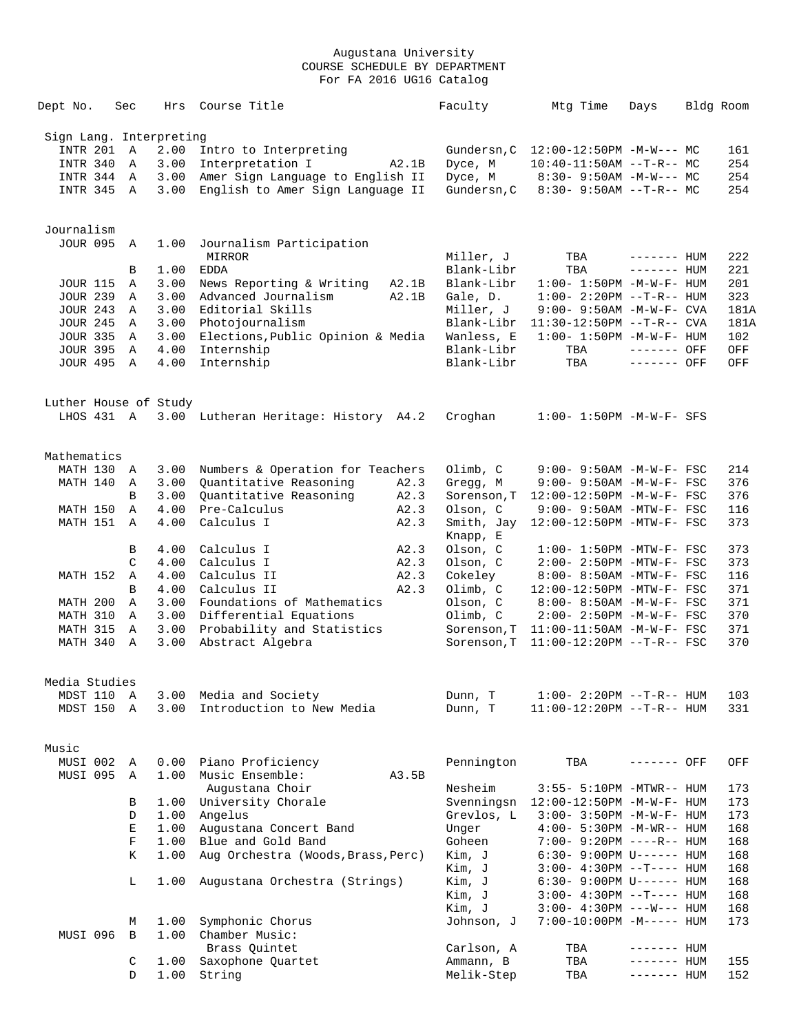| Dept No.                | Sec           | Hrs  | Course Title                         | Faculty     | Mtg Time                          | Days         | Bldg Room |
|-------------------------|---------------|------|--------------------------------------|-------------|-----------------------------------|--------------|-----------|
| Sign Lang. Interpreting |               |      |                                      |             |                                   |              |           |
| <b>INTR 201</b>         | $\mathbb{A}$  | 2.00 | Intro to Interpreting                | Gundersn, C | 12:00-12:50PM -M-W--- MC          |              | 161       |
| INTR 340                | $\mathbb A$   | 3.00 | Interpretation I<br>A2.1B            | Dyce, M     | $10:40-11:50AM$ --T-R-- MC        |              | 254       |
| INTR 344                | A             | 3.00 | Amer Sign Language to English II     | Dyce, M     | $8:30 - 9:50AM - M-W--- MC$       |              | 254       |
| INTR 345 A              |               | 3.00 | English to Amer Sign Language II     | Gundersn, C | $8:30-9:50AM --T-R--MC$           |              | 254       |
|                         |               |      |                                      |             |                                   |              |           |
| Journalism              |               |      |                                      |             |                                   |              |           |
| JOUR 095 A              |               | 1.00 | Journalism Participation<br>MIRROR   | Miller, J   | TBA                               | $------$ HUM | 222       |
|                         | В             | 1.00 | EDDA                                 | Blank-Libr  | TBA                               | $------$ HUM | 221       |
| <b>JOUR 115</b>         | Α             | 3.00 | News Reporting & Writing<br>A2.1B    | Blank-Libr  | $1:00 - 1:50PM -M-W-F- HUM$       |              | 201       |
| <b>JOUR 239</b>         | Α             | 3.00 | Advanced Journalism<br>A2.1B         | Gale, D.    | $1:00-2:20PM -T-R--HUM$           |              | 323       |
| <b>JOUR 243</b>         | A             | 3.00 | Editorial Skills                     | Miller, J   | $9:00 - 9:50AM - M - W - F - CVA$ |              | 181A      |
| <b>JOUR 245</b>         | A             | 3.00 | Photojournalism                      | Blank-Libr  | 11:30-12:50PM --T-R-- CVA         |              | 181A      |
| <b>JOUR 335</b>         | A             | 3.00 | Elections, Public Opinion & Media    | Wanless, E  | $1:00 - 1:50PM -M-W-F - HUM$      |              | 102       |
| <b>JOUR 395</b>         | A             | 4.00 | Internship                           | Blank-Libr  | TBA                               | ------- OFF  | OFF       |
| <b>JOUR 495</b>         | A             | 4.00 | Internship                           | Blank-Libr  | TBA                               | ------- OFF  | OFF       |
|                         |               |      |                                      |             |                                   |              |           |
| Luther House of Study   |               |      |                                      |             |                                   |              |           |
| LHOS 431 A              |               |      | 3.00 Lutheran Heritage: History A4.2 | Croghan     | $1:00 - 1:50PM -M-W-F-$ SFS       |              |           |
| Mathematics             |               |      |                                      |             |                                   |              |           |
| MATH 130                | A             | 3.00 | Numbers & Operation for Teachers     | Olimb, C    | 9:00- 9:50AM -M-W-F- FSC          |              | 214       |
| MATH 140                | Α             | 3.00 | Quantitative Reasoning<br>A2.3       | Gregg, M    | 9:00- 9:50AM -M-W-F- FSC          |              | 376       |
|                         | B             | 3.00 | Quantitative Reasoning<br>A2.3       | Sorenson, T | 12:00-12:50PM -M-W-F- FSC         |              | 376       |
| MATH 150                | Α             | 4.00 | Pre-Calculus<br>A2.3                 | Olson, C    | $9:00-9:50AM - MTW-F-FSC$         |              | 116       |
| MATH 151                | A             | 4.00 | Calculus I<br>A2.3                   | Smith, Jay  | 12:00-12:50PM -MTW-F- FSC         |              | 373       |
|                         |               |      |                                      | Knapp, E    |                                   |              |           |
|                         | В             | 4.00 | Calculus I<br>A2.3                   | Olson, C    | $1:00-1:50PM -MTW-F-FSC$          |              | 373       |
|                         | $\mathcal{C}$ | 4.00 | Calculus I<br>A2.3                   | Olson, C    | 2:00- 2:50PM -MTW-F- FSC          |              | 373       |
| MATH 152                | Α             | 4.00 | Calculus II<br>A2.3                  | Cokeley     | 8:00- 8:50AM -MTW-F- FSC          |              | 116       |
|                         | B             | 4.00 | Calculus II<br>A2.3                  | Olimb, C    | 12:00-12:50PM -MTW-F- FSC         |              | 371       |
| MATH 200                | Α             | 3.00 | Foundations of Mathematics           | Olson, C    | 8:00- 8:50AM -M-W-F- FSC          |              | 371       |
| MATH 310                | Α             | 3.00 | Differential Equations               | Olimb, C    | 2:00- 2:50PM -M-W-F- FSC          |              | 370       |
| MATH 315                | Α             | 3.00 | Probability and Statistics           | Sorenson, T | $11:00-11:50AM$ -M-W-F- FSC       |              | 371       |
| MATH 340                | $\mathbb{A}$  | 3.00 | Abstract Algebra                     | Sorenson, T | $11:00-12:20PM$ --T-R-- FSC       |              | 370       |
| Media Studies           |               |      |                                      |             |                                   |              |           |
| MDST 110                | Α             | 3.00 | Media and Society                    | Dunn, T     | $1:00 - 2:20PM -T-R--HUM$         |              | 103       |
| MDST 150                | Α             | 3.00 | Introduction to New Media            | Dunn, T     | 11:00-12:20PM --T-R-- HUM         |              | 331       |
|                         |               |      |                                      |             |                                   |              |           |
| Music<br>MUSI 002       | Α             | 0.00 | Piano Proficiency                    | Pennington  | TBA                               | ------- OFF  | OFF       |
| MUSI 095                | Α             | 1.00 | Music Ensemble:<br>A3.5B             |             |                                   |              |           |
|                         |               |      | Augustana Choir                      | Nesheim     | 3:55- 5:10PM -MTWR-- HUM          |              | 173       |
|                         | В             | 1.00 | University Chorale                   | Svenningsn  | $12:00-12:50PM -M-W-F- HUM$       |              | 173       |
|                         | D             | 1.00 | Angelus                              | Grevlos, L  | $3:00 - 3:50PM -M-W-F - HUM$      |              | 173       |
|                         | Е             | 1.00 | Augustana Concert Band               | Unger       | $4:00 - 5:30PM -M-WR-- HUM$       |              | 168       |
|                         | F             | 1.00 | Blue and Gold Band                   | Goheen      | 7:00- 9:20PM ----R-- HUM          |              | 168       |
|                         | Κ             | 1.00 | Aug Orchestra (Woods, Brass, Perc)   | Kim, J      | 6:30- 9:00PM U------ HUM          |              | 168       |
|                         |               |      |                                      | Kim, J      | $3:00-4:30PM -T--- HUM$           |              | 168       |
|                         | L             | 1.00 | Augustana Orchestra (Strings)        | Kim, J      | 6:30- 9:00PM U------ HUM          |              | 168       |
|                         |               |      |                                      | Kim, J      | $3:00-4:30PM -T--- HUM$           |              | 168       |
|                         |               |      |                                      | Kim, J      | $3:00-4:30PM$ ---W--- HUM         |              | 168       |
|                         | М             | 1.00 | Symphonic Chorus                     | Johnson, J  | 7:00-10:00PM -M----- HUM          |              | 173       |
| MUSI 096                | B             | 1.00 | Chamber Music:                       |             |                                   |              |           |
|                         |               |      | Brass Quintet                        | Carlson, A  | TBA                               | ------- HUM  |           |
|                         | C             | 1.00 | Saxophone Quartet                    | Ammann, B   | TBA                               | ------- HUM  | 155       |
|                         | D             | 1.00 | String                               | Melik-Step  | TBA                               | ------- HUM  | 152       |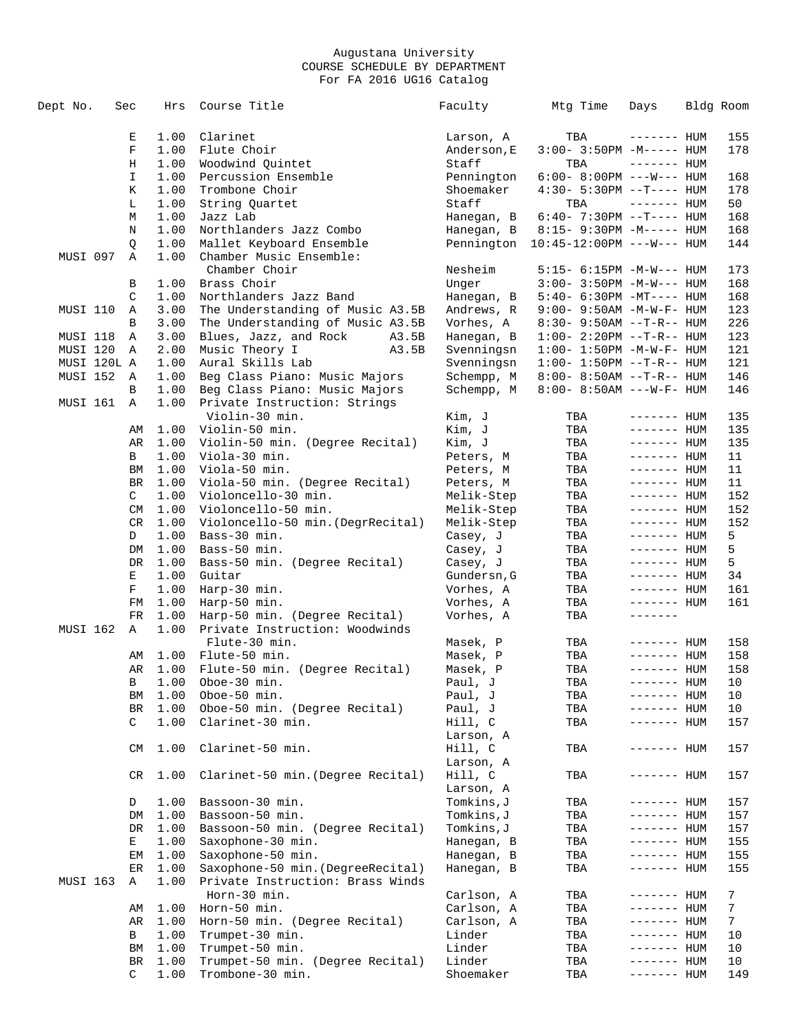| Dept No. |             | Sec         | Hrs          | Course Title                            | Faculty                 | Mtg Time                              | Days                       | Bldg Room |            |
|----------|-------------|-------------|--------------|-----------------------------------------|-------------------------|---------------------------------------|----------------------------|-----------|------------|
|          |             |             |              |                                         |                         |                                       |                            |           |            |
|          |             | Е           | 1.00         | Clarinet                                | Larson, A               | TBA                                   | $------$ HUM               |           | 155        |
|          |             | F           | 1.00         | Flute Choir                             | Anderson, E             | $3:00-3:50PM -M-----$ HUM             |                            |           | 178        |
|          |             | Η           | 1.00         | Woodwind Quintet                        | Staff                   | TBA                                   | $------$ HUM               |           |            |
|          |             | $\mathbf I$ | 1.00         | Percussion Ensemble                     | Pennington              | $6:00 - 8:00PM$ ---W--- HUM           |                            |           | 168        |
|          |             | Κ           | 1.00         | Trombone Choir                          | Shoemaker               | $4:30 - 5:30PM -T--- HUM$             |                            |           | 178        |
|          |             | L           | 1.00         | String Quartet                          | Staff                   | TBA                                   | $------$ HUM               |           | 50         |
|          |             | М           | 1.00         | Jazz Lab                                | Hanegan, B              | $6:40 - 7:30PM -T--- HUM$             |                            |           | 168        |
|          |             | N           | 1.00         | Northlanders Jazz Combo                 | Hanegan, B              | 8:15- 9:30PM -M----- HUM              |                            |           | 168        |
|          |             | Q           | 1.00         | Mallet Keyboard Ensemble                | Pennington              | $10:45 - 12:00 \text{PM}$ ---W--- HUM |                            |           | 144        |
| MUSI 097 |             | Α           | 1.00         | Chamber Music Ensemble:                 |                         |                                       |                            |           |            |
|          |             |             |              | Chamber Choir                           | Nesheim                 | 5:15- 6:15PM -M-W--- HUM              |                            |           | 173        |
|          |             | В           | 1.00         | Brass Choir                             | Unger                   | $3:00 - 3:50PM -M-W---$ HUM           |                            |           | 168        |
|          |             | C           | 1.00         | Northlanders Jazz Band                  | Hanegan, B              | $5:40-6:30PM -MT--- HUM$              |                            |           | 168        |
| MUSI 110 |             | Α           | 3.00         | The Understanding of Music A3.5B        | Andrews, R              | $9:00 - 9:50AM - M - W - F - HUM$     |                            |           | 123        |
|          |             | B           | 3.00         | The Understanding of Music A3.5B        | Vorhes, A               | $8:30 - 9:50AM -T-R-- HUM$            |                            |           | 226        |
| MUSI 118 |             | Α           | 3.00         | Blues, Jazz, and Rock<br>A3.5B          | Hanegan, B              | $1:00 - 2:20PM -T-R--HUM$             |                            |           | 123        |
| MUSI 120 |             | Α           | 2.00         | Music Theory I<br>A3.5B                 | Svenningsn              | $1:00 - 1:50PM - M - W - F - HUM$     |                            |           | 121        |
|          | MUSI 120L A |             | 1.00         | Aural Skills Lab                        | Svenningsn              | $1:00 - 1:50PM -T-R--HUM$             |                            |           | 121        |
| MUSI 152 |             | A           | 1.00         | Beg Class Piano: Music Majors           | Schempp, M              | $8:00 - 8:50AM -T-R-- HUM$            |                            |           | 146        |
|          |             | B           | 1.00         | Beg Class Piano: Music Majors           | Schempp, M              | $8:00 - 8:50AM$ ---W-F- HUM           |                            |           | 146        |
| MUSI 161 |             | A           | 1.00         | Private Instruction: Strings            |                         |                                       |                            |           |            |
|          |             |             |              | Violin-30 min.                          | Kim, J                  | TBA                                   | $------$ HUM               |           | 135        |
|          |             | AΜ          | 1.00         | Violin-50 min.                          | Kim, J                  | TBA                                   | $------$ HUM               |           | 135        |
|          |             | AR          | 1.00         | Violin-50 min. (Degree Recital)         | Kim, J                  | TBA                                   | $------$ HUM               |           | 135        |
|          |             | B           | 1.00         | Viola-30 min.                           | Peters, M               | TBA                                   | ------- HUM                |           | 11         |
|          |             | BM          | 1.00         | Viola-50 min.                           | Peters, M               | TBA                                   | ------- HUM                |           | 11         |
|          |             | BR          | 1.00         | Viola-50 min. (Degree Recital)          | Peters, M               | TBA                                   | ------- HUM                |           | 11         |
|          |             | C           | 1.00         | Violoncello-30 min.                     | Melik-Step              | TBA                                   | ------- HUM                |           | 152        |
|          |             | <b>CM</b>   | 1.00         | Violoncello-50 min.                     | Melik-Step              | TBA                                   | $------HUM$                |           | 152<br>152 |
|          |             | CR          | 1.00         | Violoncello-50 min. (DegrRecital)       | Melik-Step              | TBA                                   | ------- HUM                |           | 5          |
|          |             | D           | 1.00         | Bass-30 min.<br>Bass-50 min.            | Casey, J<br>Casey, J    | TBA                                   | ------- HUM                |           | 5          |
|          |             | DM          | 1.00         |                                         |                         | TBA                                   | ------- HUM<br>------- HUM |           | 5          |
|          |             | DR<br>Е     | 1.00<br>1.00 | Bass-50 min. (Degree Recital)<br>Guitar | Casey, J<br>Gundersn, G | TBA<br>TBA                            | $------HH$                 |           | 34         |
|          |             | F           | 1.00         | Harp-30 min.                            | Vorhes, A               | TBA                                   | ------- HUM                |           | 161        |
|          |             | FM          | 1.00         | Harp-50 min.                            | Vorhes, A               | TBA                                   | ------- HUM                |           | 161        |
|          |             | FR          | 1.00         | Harp-50 min. (Degree Recital)           | Vorhes, A               | TBA                                   | $- - - - - - -$            |           |            |
| MUSI 162 |             | Α           | 1.00         | Private Instruction: Woodwinds          |                         |                                       |                            |           |            |
|          |             |             |              | Flute-30 min.                           | Masek, P                | TBA                                   | ------- HUM                |           | 158        |
|          |             | AΜ          | 1.00         | Flute-50 min.                           | Masek, P                | TBA                                   | $------$ HUM               |           | 158        |
|          |             | AR          | 1.00         | Flute-50 min. (Degree Recital)          | Masek, P                | TBA                                   | $------$ HUM               |           | 158        |
|          |             | B           | 1.00         | Oboe-30 min.                            | Paul, J                 | TBA                                   | ------- HUM                |           | 10         |
|          |             | ΒM          | 1.00         | Oboe-50 min.                            | Paul, J                 | TBA                                   | $------$ HUM               |           | 10         |
|          |             | BR          | 1.00         | Oboe-50 min. (Degree Recital)           | Paul, J                 | TBA                                   | ------- HUM                |           | 10         |
|          |             | C           | 1.00         | Clarinet-30 min.                        | Hill, C                 | TBA                                   | ------- HUM                |           | 157        |
|          |             |             |              |                                         | Larson, A               |                                       |                            |           |            |
|          |             | CM          | 1.00         | Clarinet-50 min.                        | Hill, C                 | TBA                                   | ------- HUM                |           | 157        |
|          |             |             |              |                                         | Larson, A               |                                       |                            |           |            |
|          |             | CR          | 1.00         | Clarinet-50 min. (Degree Recital)       | Hill, C                 | TBA                                   | $------$ HUM               |           | 157        |
|          |             |             |              |                                         | Larson, A               |                                       |                            |           |            |
|          |             | D           | 1.00         | Bassoon-30 min.                         | Tomkins, J              | TBA                                   | $------$ HUM               |           | 157        |
|          |             | DM          | 1.00         | Bassoon-50 min.                         | Tomkins,J               | TBA                                   | $------$ HUM               |           | 157        |
|          |             | DR          | 1.00         | Bassoon-50 min. (Degree Recital)        | Tomkins,J               | TBA                                   | $------$ HUM               |           | 157        |
|          |             | Е           | 1.00         | Saxophone-30 min.                       | Hanegan, B              | TBA                                   | ------- HUM                |           | 155        |
|          |             | EM          | 1.00         | Saxophone-50 min.                       | Hanegan, B              | TBA                                   | ------- HUM                |           | 155        |
|          |             | ER          | 1.00         | Saxophone-50 min. (DegreeRecital)       | Hanegan, B              | TBA                                   | ------- HUM                |           | 155        |
| MUSI 163 |             | Α           | 1.00         | Private Instruction: Brass Winds        |                         |                                       |                            |           |            |
|          |             |             |              | Horn-30 min.                            | Carlson, A              | TBA                                   | ------- HUM                |           | 7          |
|          |             | AΜ          | 1.00         | Horn-50 min.                            | Carlson, A              | TBA                                   | ------- HUM                |           | 7          |
|          |             | AR          | 1.00         | Horn-50 min. (Degree Recital)           | Carlson, A              | TBA                                   | ------- HUM                |           | 7          |
|          |             | В           | 1.00         | Trumpet-30 min.                         | Linder                  | TBA                                   | ------- HUM                |           | 10         |
|          |             | ΒM          | 1.00         | Trumpet-50 min.                         | Linder                  | TBA                                   | ------- HUM                |           | 10         |
|          |             | BR          | 1.00         | Trumpet-50 min. (Degree Recital)        | Linder                  | TBA                                   | ------- HUM                |           | 10         |
|          |             | C           | 1.00         | Trombone-30 min.                        | Shoemaker               | TBA                                   | ------- HUM                |           | 149        |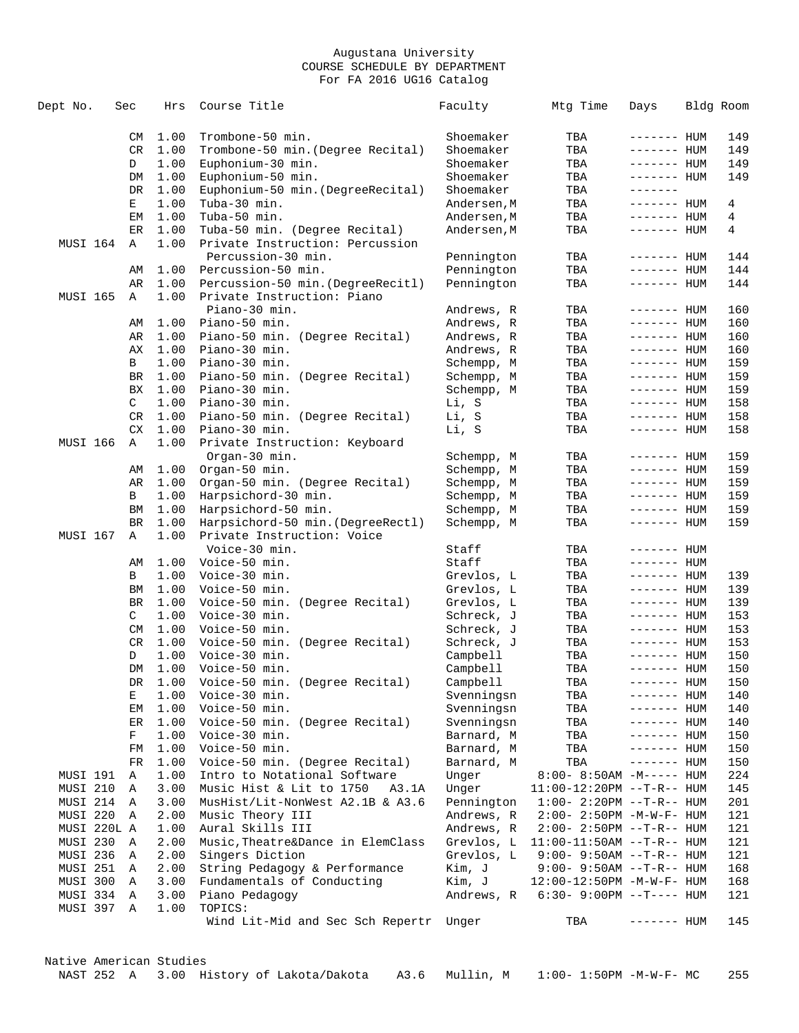| Dept No.        | Sec       | Hrs          | Course Title                                    | Faculty              | Mtg Time                    | Days                       | Bldg Room  |
|-----------------|-----------|--------------|-------------------------------------------------|----------------------|-----------------------------|----------------------------|------------|
|                 | CM        | 1.00         | Trombone-50 min.                                | Shoemaker            | TBA                         | ------- HUM                | 149        |
|                 | <b>CR</b> | 1.00         | Trombone-50 min. (Degree Recital)               | Shoemaker            | TBA                         | ------- HUM                | 149        |
|                 | D         | 1.00         | Euphonium-30 min.                               | Shoemaker            | TBA                         | ------- HUM                | 149        |
|                 | DM        | 1.00         | Euphonium-50 min.                               | Shoemaker            | TBA                         | $------$ HUM               | 149        |
|                 | DR        | 1.00         | Euphonium-50 min. (DegreeRecital)               | Shoemaker            | TBA                         | --------                   |            |
|                 | Е         | 1.00         | Tuba-30 min.                                    | Andersen, M          | TBA                         | ------- HUM                | 4          |
|                 | ЕM        | 1.00         | Tuba-50 min.                                    | Andersen, M          | TBA                         | ------- HUM                | 4          |
|                 | ER        | 1.00         | Tuba-50 min. (Degree Recital)                   | Andersen, M          | TBA                         | ------- HUM                | 4          |
| MUSI 164        | Α         | 1.00         | Private Instruction: Percussion                 |                      |                             |                            |            |
|                 |           |              | Percussion-30 min.                              | Pennington           | TBA                         | ------- HUM                | 144        |
|                 | AΜ        | 1.00         | Percussion-50 min.                              | Pennington           | TBA                         | $------$ HUM               | 144        |
|                 | AR        | 1.00         | Percussion-50 min. (DegreeRecitl)               | Pennington           | TBA                         | ------- HUM                | 144        |
| <b>MUSI 165</b> | Α         | 1.00         | Private Instruction: Piano                      |                      |                             |                            |            |
|                 |           |              | Piano-30 min.                                   | Andrews, R           | TBA                         | ------- HUM                | 160        |
|                 | AΜ        | 1.00         | Piano-50 min.                                   | Andrews, R           | TBA                         | ------- HUM                | 160        |
|                 | AR        | 1.00         | Piano-50 min. (Degree Recital)                  | Andrews, R           | TBA                         | ------- HUM                | 160        |
|                 | AX        | 1.00         | Piano-30 min.                                   | Andrews, R           | TBA                         | ------- HUM                | 160        |
|                 | B         | 1.00         | Piano-30 min.                                   | Schempp, M           | TBA                         | ------- HUM                | 159        |
|                 | <b>BR</b> | 1.00         | Piano-50 min. (Degree Recital)                  | Schempp, M           | TBA                         | ------- HUM                | 159        |
|                 | ВX        | 1.00         | Piano-30 min.                                   | Schempp, M           | TBA                         | ------- HUM                | 159        |
|                 | C         | 1.00         | Piano-30 min.                                   | Li, S                | TBA                         | ------- HUM                | 158        |
|                 | CR        | 1.00         | Piano-50 min. (Degree Recital)                  | Li, S                | TBA                         | ------- HUM                | 158        |
|                 | <b>CX</b> | 1.00         | Piano-30 min.                                   | Li, S                | TBA                         | $------$ HUM               | 158        |
| MUSI 166        | Α         | 1.00         | Private Instruction: Keyboard                   |                      |                             |                            |            |
|                 |           |              | Organ-30 min.                                   | Schempp, M           | TBA                         | ------- HUM                | 159        |
|                 | AΜ        | 1.00         | Organ-50 min.                                   | Schempp, M           | TBA                         | ------- HUM                | 159        |
|                 | AR        | 1.00         | Organ-50 min. (Degree Recital)                  | Schempp, M           | TBA                         | ------- HUM                | 159        |
|                 | В         | 1.00         | Harpsichord-30 min.                             | Schempp, M           | TBA                         | ------- HUM                | 159        |
|                 | BM        | 1.00         | Harpsichord-50 min.                             | Schempp, M           | TBA                         | ------- HUM                | 159        |
|                 | BR        | 1.00         | Harpsichord-50 min. (DegreeRectl)               | Schempp, M           | TBA                         | ------- HUM                | 159        |
| MUSI 167        | Α         | 1.00         | Private Instruction: Voice                      |                      |                             |                            |            |
|                 |           |              | Voice-30 min.                                   | Staff                | TBA                         | ------- HUM                |            |
|                 | AΜ        | 1.00         | Voice-50 min.                                   | Staff                | TBA                         | ------- HUM                |            |
|                 | В         | 1.00         | Voice-30 min.                                   | Grevlos, L           | TBA                         | ------- HUM                | 139        |
|                 | ΒM        | 1.00         | Voice-50 min.                                   | Grevlos, L           | TBA                         | ------- HUM                | 139        |
|                 | BR        | 1.00         | Voice-50 min. (Degree Recital)                  | Grevlos, L           | TBA                         | ------- HUM                | 139        |
|                 | C         | 1.00         | Voice-30 min.                                   | Schreck, J           | TBA                         | ------- HUM                | 153        |
|                 | CM        | 1.00         | Voice-50 min.                                   | Schreck, J           | TBA                         | ------- HUM                | 153        |
|                 | CR<br>D   | 1.00         | Voice-50 min. (Degree Recital)<br>Voice-30 min. | Schreck, J           | TBA                         | ------- HUM                | 153        |
|                 | DM        | 1.00<br>1.00 | Voice-50 min.                                   | Campbell<br>Campbell | TBA<br>TBA                  | ------- HUM<br>------- HUM | 150<br>150 |
|                 | DR        | 1.00         | Voice-50 min. (Degree Recital)                  | Campbell             | TBA                         | ------- HUM                | 150        |
|                 | Е         | 1.00         | Voice-30 min.                                   | Svenningsn           | TBA                         | ------- HUM                | 140        |
|                 | EМ        | 1.00         | Voice-50 min.                                   | Svenningsn           | TBA                         | $------$ HUM               | 140        |
|                 | ER        | 1.00         | Voice-50 min. (Degree Recital)                  | Svenningsn           | TBA                         | ------- HUM                | 140        |
|                 | F         | 1.00         | Voice-30 min.                                   | Barnard, M           | TBA                         | ------- HUM                | 150        |
|                 | FM        | 1.00         | Voice-50 min.                                   | Barnard, M           | TBA                         | ------- HUM                | 150        |
|                 | FR        | 1.00         | Voice-50 min. (Degree Recital)                  | Barnard, M           | TBA                         | $------HH$                 | 150        |
| MUSI 191        | Α         | 1.00         | Intro to Notational Software                    | Unger                | 8:00- 8:50AM -M----- HUM    |                            | 224        |
| MUSI 210        | Α         | 3.00         | Music Hist & Lit to 1750<br>A3.1A               | Unger                | $11:00-12:20PM -T-R--HUM$   |                            | 145        |
| MUSI 214        | A         | 3.00         | MusHist/Lit-NonWest A2.1B & A3.6                | Pennington           | $1:00 - 2:20PM -T-R--HUM$   |                            | 201        |
| MUSI 220        | Α         | 2.00         | Music Theory III                                | Andrews, R           | 2:00- 2:50PM -M-W-F- HUM    |                            | 121        |
| MUSI 220L A     |           | 1.00         | Aural Skills III                                | Andrews, R           | $2:00-2:50PM -T-R--HUM$     |                            | 121        |
| MUSI 230        | Α         | 2.00         | Music, Theatre&Dance in ElemClass               | Grevlos, L           | $11:00-11:50AM$ --T-R-- HUM |                            | 121        |
| MUSI 236        | Α         | 2.00         | Singers Diction                                 | Grevlos, L           | $9:00 - 9:50AM -T-R-- HUM$  |                            | 121        |
| MUSI 251        | A         | 2.00         | String Pedagogy & Performance                   | Kim, J               | $9:00 - 9:50AM -T-R-- HUM$  |                            | 168        |
| MUSI 300        | A         | 3.00         | Fundamentals of Conducting                      | Kim, J               | 12:00-12:50PM -M-W-F- HUM   |                            | 168        |
| MUSI 334        | A         | 3.00         | Piano Pedagogy                                  | Andrews, R           | $6:30 - 9:00PM -T--- HUM$   |                            | 121        |
| MUSI 397        | Α         | 1.00         | TOPICS:                                         |                      |                             |                            |            |
|                 |           |              | Wind Lit-Mid and Sec Sch Repertr Unger          |                      | TBA                         | ------- HUM                | 145        |
|                 |           |              |                                                 |                      |                             |                            |            |

Native American Studies NAST 252 A 3.00 History of Lakota/Dakota A3.6 Mullin, M 1:00- 1:50PM -M-W-F- MC 255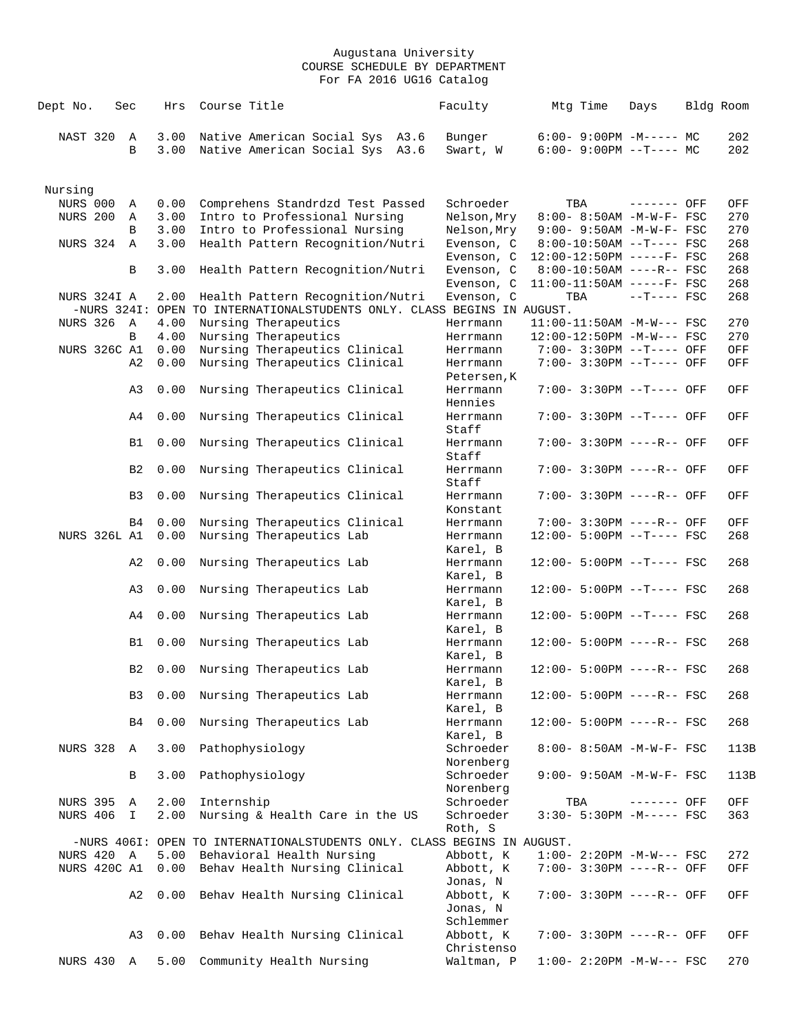| Dept No.        |                     | Sec            | Hrs          | Course Title                                                            | Faculty                 | Mtg Time                                              | Days         | Bldg Room |             |
|-----------------|---------------------|----------------|--------------|-------------------------------------------------------------------------|-------------------------|-------------------------------------------------------|--------------|-----------|-------------|
| NAST 320        |                     | Α<br>B         | 3.00<br>3.00 | Native American Social Sys A3.6<br>Native American Social Sys<br>A3.6   | Bunger<br>Swart, W      | $6:00 - 9:00PM -M--- - M$<br>$6:00-9:00PM$ --T---- MC |              |           | 202<br>202  |
| Nursing         |                     |                |              |                                                                         |                         |                                                       |              |           |             |
| NURS 000        |                     | Α              | 0.00         | Comprehens Standrdzd Test Passed                                        | Schroeder               | TBA                                                   | ------- OFF  |           | OFF         |
| <b>NURS 200</b> |                     | Α              | 3.00         | Intro to Professional Nursing                                           | Nelson, Mry             | 8:00- 8:50AM -M-W-F- FSC                              |              |           | 270         |
|                 |                     | B              | 3.00         | Intro to Professional Nursing                                           | Nelson, Mry             | 9:00- 9:50AM -M-W-F- FSC                              |              |           | 270         |
| NURS 324        |                     | $\mathbb{A}$   | 3.00         | Health Pattern Recognition/Nutri                                        | Evenson, C              | $8:00-10:50AM$ --T---- FSC                            |              |           | 268         |
|                 |                     |                |              |                                                                         | Evenson, C              | 12:00-12:50PM -----F- FSC                             |              |           | 268         |
|                 |                     | B              | 3.00         | Health Pattern Recognition/Nutri                                        | Evenson, C              | $8:00-10:50AM$ ----R-- FSC                            |              |           | 268         |
|                 |                     |                |              |                                                                         | Evenson, C              | $11:00-11:50AM$ -----F- FSC                           |              |           | 268         |
|                 | NURS 324I A         |                | 2.00         | Health Pattern Recognition/Nutri                                        | Evenson, C              | TBA                                                   | $--T---$ FSC |           | 268         |
|                 |                     |                |              | -NURS 324I: OPEN TO INTERNATIONALSTUDENTS ONLY. CLASS BEGINS IN AUGUST. |                         |                                                       |              |           |             |
|                 | <b>NURS 326 A</b>   |                | 4.00         | Nursing Therapeutics                                                    | Herrmann                | $11:00-11:50AM$ -M-W--- FSC                           |              |           | 270         |
|                 |                     | B              | 4.00         | Nursing Therapeutics                                                    | Herrmann                | 12:00-12:50PM -M-W--- FSC                             |              |           | 270         |
|                 | <b>NURS 326C A1</b> |                | 0.00         | Nursing Therapeutics Clinical                                           | Herrmann                | 7:00- 3:30PM --T---- OFF                              |              |           | OFF         |
|                 |                     | A2             | 0.00         | Nursing Therapeutics Clinical                                           | Herrmann<br>Petersen, K | 7:00- 3:30PM --T---- OFF                              |              |           | OFF         |
|                 |                     | A3             | 0.00         | Nursing Therapeutics Clinical                                           | Herrmann                | 7:00- 3:30PM --T---- OFF                              |              |           | OFF         |
|                 |                     |                |              |                                                                         | Hennies                 |                                                       |              |           |             |
|                 |                     | A4             | 0.00         | Nursing Therapeutics Clinical                                           | Herrmann<br>Staff       | 7:00- 3:30PM --T---- OFF                              |              |           | OFF         |
|                 |                     | B1             | 0.00         | Nursing Therapeutics Clinical                                           | Herrmann<br>Staff       | 7:00- 3:30PM ----R-- OFF                              |              |           | OFF         |
|                 |                     | B <sub>2</sub> | 0.00         | Nursing Therapeutics Clinical                                           | Herrmann<br>Staff       | 7:00- 3:30PM ----R-- OFF                              |              |           | OFF         |
|                 |                     | B3             | 0.00         | Nursing Therapeutics Clinical                                           | Herrmann<br>Konstant    | 7:00- 3:30PM ----R-- OFF                              |              |           | OFF         |
|                 |                     | B4             | 0.00         | Nursing Therapeutics Clinical                                           | Herrmann                | 7:00- 3:30PM ----R-- OFF                              |              |           | OFF         |
|                 | <b>NURS 326L A1</b> |                | 0.00         | Nursing Therapeutics Lab                                                | Herrmann                | 12:00- 5:00PM --T---- FSC                             |              |           | 268         |
|                 |                     |                |              |                                                                         | Karel, B                |                                                       |              |           |             |
|                 |                     | A2             | 0.00         | Nursing Therapeutics Lab                                                | Herrmann                | $12:00 - 5:00PM -T--- FSC$                            |              |           | 268         |
|                 |                     |                |              |                                                                         | Karel, B                |                                                       |              |           |             |
|                 |                     | A3             | 0.00         | Nursing Therapeutics Lab                                                | Herrmann                | 12:00- 5:00PM --T---- FSC                             |              |           | 268         |
|                 |                     |                |              |                                                                         | Karel, B                |                                                       |              |           |             |
|                 |                     | A4             | 0.00         | Nursing Therapeutics Lab                                                | Herrmann                | 12:00- 5:00PM --T---- FSC                             |              |           | 268         |
|                 |                     |                |              |                                                                         | Karel, B                |                                                       |              |           |             |
|                 |                     | B1             | 0.00         | Nursing Therapeutics Lab                                                | Herrmann                | 12:00- 5:00PM ----R-- FSC                             |              |           | 268         |
|                 |                     | B <sub>2</sub> | 0.00         | Nursing Therapeutics Lab                                                | Karel, B<br>Herrmann    | 12:00- 5:00PM ----R-- FSC                             |              |           | 268         |
|                 |                     |                |              |                                                                         | Karel, B                |                                                       |              |           |             |
|                 |                     | B3             | 0.00         | Nursing Therapeutics Lab                                                | Herrmann                | 12:00- 5:00PM ----R-- FSC                             |              |           | 268         |
|                 |                     |                |              |                                                                         | Karel, B                |                                                       |              |           |             |
|                 |                     | B4             | 0.00         | Nursing Therapeutics Lab                                                | Herrmann                | $12:00 - 5:00PM$ ----R-- FSC                          |              |           | 268         |
|                 |                     |                |              |                                                                         | Karel, B                |                                                       |              |           |             |
| <b>NURS 328</b> |                     | A              | 3.00         | Pathophysiology                                                         | Schroeder               | 8:00- 8:50AM -M-W-F- FSC                              |              |           | 113B        |
|                 |                     |                |              |                                                                         | Norenberg               |                                                       |              |           |             |
|                 |                     | В              | 3.00         | Pathophysiology                                                         | Schroeder               | 9:00- 9:50AM -M-W-F- FSC                              |              |           | 113B        |
|                 |                     |                |              |                                                                         | Norenberg               |                                                       |              |           |             |
| <b>NURS 395</b> |                     | Α              | 2.00         | Internship                                                              | Schroeder               | TBA                                                   | ------- OFF  |           | OFF         |
| <b>NURS 406</b> |                     | I              | 2.00         | Nursing & Health Care in the US                                         | Schroeder               | 3:30- 5:30PM -M----- FSC                              |              |           | 363         |
|                 |                     |                |              |                                                                         | Roth, S                 |                                                       |              |           |             |
|                 |                     |                |              | -NURS 406I: OPEN TO INTERNATIONALSTUDENTS ONLY. CLASS BEGINS IN AUGUST. |                         |                                                       |              |           |             |
|                 | NURS 420 A          |                | 5.00         | Behavioral Health Nursing                                               | Abbott, K               | $1:00-2:20PM -M-W--- FSC$                             |              |           | 272         |
|                 | NURS 420C A1        |                | 0.00         | Behav Health Nursing Clinical                                           | Abbott, K               | 7:00- 3:30PM ----R-- OFF                              |              |           | OFF         |
|                 |                     |                |              |                                                                         | Jonas, N                |                                                       |              |           |             |
|                 |                     | A2             | 0.00         | Behav Health Nursing Clinical                                           | Abbott, K<br>Jonas, N   | 7:00- 3:30PM ----R-- OFF                              |              |           | OFF         |
|                 |                     |                |              |                                                                         | Schlemmer               |                                                       |              |           |             |
|                 |                     | A3             | 0.00         | Behav Health Nursing Clinical                                           | Abbott, K               | 7:00- 3:30PM ----R-- OFF                              |              |           | ${\rm OFF}$ |
|                 |                     |                |              |                                                                         | Christenso              |                                                       |              |           |             |
| NURS 430        |                     | Α              | 5.00         | Community Health Nursing                                                | Waltman, P              | $1:00-2:20PM -M-W--- FSC$                             |              |           | 270         |
|                 |                     |                |              |                                                                         |                         |                                                       |              |           |             |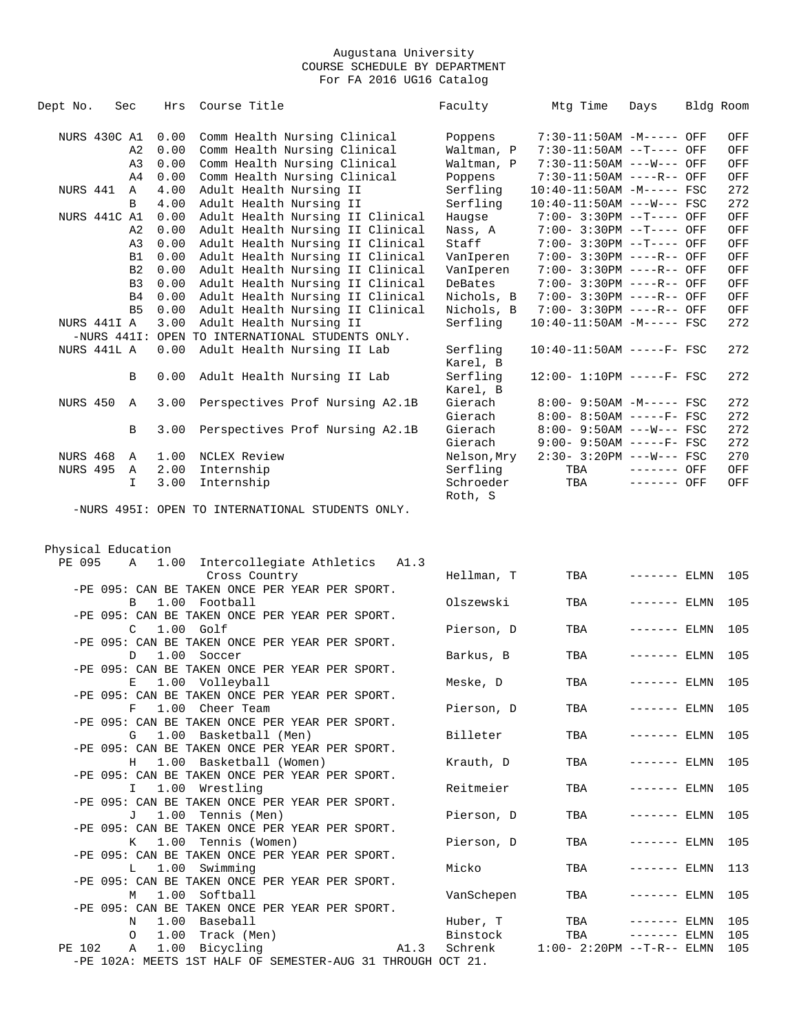| Dept No.           | Sec            | Hrs         | Course Title                                                          | Faculty              | Mtg Time                     | Days          | Bldg Room  |     |
|--------------------|----------------|-------------|-----------------------------------------------------------------------|----------------------|------------------------------|---------------|------------|-----|
| NURS 430C A1       |                |             |                                                                       |                      |                              |               |            |     |
|                    |                | 0.00        | Comm Health Nursing Clinical                                          | Poppens              | 7:30-11:50AM -M----- OFF     |               |            | OFF |
|                    | A <sub>2</sub> | 0.00        | Comm Health Nursing Clinical                                          | Waltman, P           | 7:30-11:50AM --T---- OFF     |               |            | OFF |
|                    | A <sub>3</sub> | 0.00        | Comm Health Nursing Clinical                                          | Waltman, P           | 7:30-11:50AM ---W--- OFF     |               |            | OFF |
|                    | A <sub>4</sub> | 0.00        | Comm Health Nursing Clinical                                          | Poppens              | 7:30-11:50AM ----R-- OFF     |               |            | OFF |
| NURS 441           | Α              | 4.00        | Adult Health Nursing II                                               | Serfling             | 10:40-11:50AM -M----- FSC    |               |            | 272 |
|                    | B              | 4.00        | Adult Health Nursing II                                               | Serfling             | $10:40-11:50AM$ ---W--- FSC  |               |            | 272 |
| NURS 441C A1       |                | 0.00        | Adult Health Nursing II Clinical                                      | Haugse               | 7:00- 3:30PM --T---- OFF     |               |            | OFF |
|                    | A <sub>2</sub> | 0.00        | Adult Health Nursing II Clinical                                      | Nass, A              | 7:00- 3:30PM --T---- OFF     |               |            | OFF |
|                    | A3             | 0.00        | Adult Health Nursing II Clinical                                      | Staff                | $7:00 - 3:30PM -T---$ OFF    |               |            | OFF |
|                    | B1             | 0.00        | Adult Health Nursing II Clinical                                      | VanIperen            | 7:00- 3:30PM ----R-- OFF     |               |            | OFF |
|                    | B <sub>2</sub> | 0.00        | Adult Health Nursing II Clinical                                      | VanIperen            | 7:00- 3:30PM ----R-- OFF     |               |            | OFF |
|                    | B <sub>3</sub> | 0.00        | Adult Health Nursing II Clinical                                      | DeBates              | 7:00- 3:30PM ----R-- OFF     |               |            | OFF |
|                    | B4             | 0.00        | Adult Health Nursing II Clinical                                      | Nichols, B           | 7:00- 3:30PM ----R-- OFF     |               |            | OFF |
|                    | B <sub>5</sub> | 0.00        | Adult Health Nursing II Clinical                                      | Nichols, B           | 7:00- 3:30PM ----R-- OFF     |               |            | OFF |
| NURS 441I A        |                | 3.00        | Adult Health Nursing II                                               | Serfling             | 10:40-11:50AM -M----- FSC    |               |            | 272 |
|                    |                |             | -NURS 441I: OPEN TO INTERNATIONAL STUDENTS ONLY.                      |                      |                              |               |            |     |
| NURS 441L A        |                | 0.00        | Adult Health Nursing II Lab                                           | Serfling<br>Karel, B | 10:40-11:50AM -----F- FSC    |               |            | 272 |
|                    | B              | 0.00        | Adult Health Nursing II Lab                                           | Serfling             | $12:00 - 1:10PM$ -----F- FSC |               |            | 272 |
|                    |                |             |                                                                       | Karel, B             |                              |               |            |     |
| <b>NURS 450</b>    | $\mathbb A$    | 3.00        | Perspectives Prof Nursing A2.1B                                       | Gierach              | 8:00- 9:50AM -M----- FSC     |               |            | 272 |
|                    |                |             |                                                                       | Gierach              | $8:00 - 8:50AM$ -----F- FSC  |               |            | 272 |
|                    | В              | 3.00        | Perspectives Prof Nursing A2.1B                                       | Gierach              | $8:00 - 9:50AM$ ---W--- FSC  |               |            | 272 |
|                    |                |             |                                                                       | Gierach              | $9:00 - 9:50AM$ -----F- FSC  |               |            | 272 |
| NURS 468           | Α              | 1.00        | NCLEX Review                                                          | Nelson,Mry           | $2:30 - 3:20PM$ ---W--- FSC  |               |            | 270 |
| <b>NURS 495</b>    | Α              | 2.00        | Internship                                                            | Serfling             | TBA                          | $------$ OFF  |            | OFF |
|                    | I.             | 3.00        | Internship                                                            | Schroeder            | TBA                          | $-----$ OFF   |            | OFF |
|                    |                |             |                                                                       | Roth, S              |                              |               |            |     |
| Physical Education |                |             |                                                                       |                      |                              |               |            |     |
| PE 095             | Α              | 1.00        | Intercollegiate Athletics A1.3                                        |                      |                              |               |            |     |
|                    |                |             | Cross Country<br>-PE 095: CAN BE TAKEN ONCE PER YEAR PER SPORT.       | Hellman, T           | TBA                          | ------- ELMN  |            | 105 |
|                    | B              |             | 1.00 Football                                                         | Olszewski            | TBA                          |               | $---$ ELMN | 105 |
|                    |                |             | -PE 095: CAN BE TAKEN ONCE PER YEAR PER SPORT.                        |                      |                              |               |            |     |
|                    | C              | $1.00$ Golf |                                                                       | Pierson, D           | TBA                          | ------- ELMN  |            | 105 |
|                    |                |             | -PE 095: CAN BE TAKEN ONCE PER YEAR PER SPORT.                        |                      |                              |               |            |     |
|                    | D              |             | 1.00 Soccer                                                           |                      | TBA                          | ------- ELMN  |            | 105 |
|                    |                |             | -PE 095: CAN BE TAKEN ONCE PER YEAR PER SPORT.                        | Barkus, B            |                              |               |            |     |
|                    |                |             | E 1.00 Volleyball                                                     | Meske, D             | TBA                          | $------$ ELMN |            | 105 |
|                    |                |             | -PE 095: CAN BE TAKEN ONCE PER YEAR PER SPORT.                        |                      |                              |               |            |     |
|                    | F              |             | 1.00 Cheer Team                                                       | Pierson, D           | TBA                          | $------ELMN$  |            | 105 |
|                    |                |             | -PE 095: CAN BE TAKEN ONCE PER YEAR PER SPORT.                        |                      |                              |               |            |     |
|                    | G              |             | 1.00 Basketball (Men)                                                 | Billeter             | TBA                          | $------ELMN$  |            | 105 |
|                    |                |             | -PE 095: CAN BE TAKEN ONCE PER YEAR PER SPORT.                        |                      |                              |               |            |     |
|                    | H              |             | 1.00 Basketball (Women)                                               | Krauth, D            | TBA                          | $------$ ELMN |            | 105 |
|                    |                |             | -PE 095: CAN BE TAKEN ONCE PER YEAR PER SPORT.                        |                      |                              |               |            |     |
|                    | I.             |             | 1.00 Wrestling                                                        | Reitmeier            | TBA                          | $------ELMN$  |            | 105 |
|                    |                |             | -PE 095: CAN BE TAKEN ONCE PER YEAR PER SPORT.                        |                      |                              |               |            |     |
|                    |                |             | 1.00 Tennis (Men)                                                     | Pierson, D           |                              |               |            |     |
|                    | J              |             |                                                                       |                      | TBA                          | $------$ ELMN |            | 105 |
|                    |                |             | -PE 095: CAN BE TAKEN ONCE PER YEAR PER SPORT.<br>1.00 Tennis (Women) | Pierson, D           |                              | $------ELMN$  |            |     |
|                    | K              |             | -PE 095: CAN BE TAKEN ONCE PER YEAR PER SPORT.                        |                      | TBA                          |               |            | 105 |
|                    |                |             | 1.00 Swimming                                                         | Micko                |                              |               |            |     |
|                    | L              |             |                                                                       |                      | TBA                          | $------$ ELMN |            | 113 |
|                    |                |             | -PE 095: CAN BE TAKEN ONCE PER YEAR PER SPORT.                        |                      |                              |               |            |     |
|                    | М              |             | 1.00 Softball                                                         | VanSchepen           | TBA                          | $------ELMN$  |            | 105 |
|                    |                |             | -PE 095: CAN BE TAKEN ONCE PER YEAR PER SPORT.                        |                      |                              |               |            |     |
|                    | N              |             | 1.00 Baseball                                                         | Huber, T             | TBA                          | $------ELMN$  |            | 105 |
|                    | 0              |             | 1.00 Track (Men)                                                      | Binstock             | TBA                          | $------ELMN$  |            | 105 |
| PE 102             | Α              |             | 1.00 Bicycling<br>A1.3                                                | Schrenk              | $1:00 - 2:20PM -T-R-- ELMN$  |               |            | 105 |
|                    |                |             | -PE 102A: MEETS 1ST HALF OF SEMESTER-AUG 31 THROUGH OCT 21.           |                      |                              |               |            |     |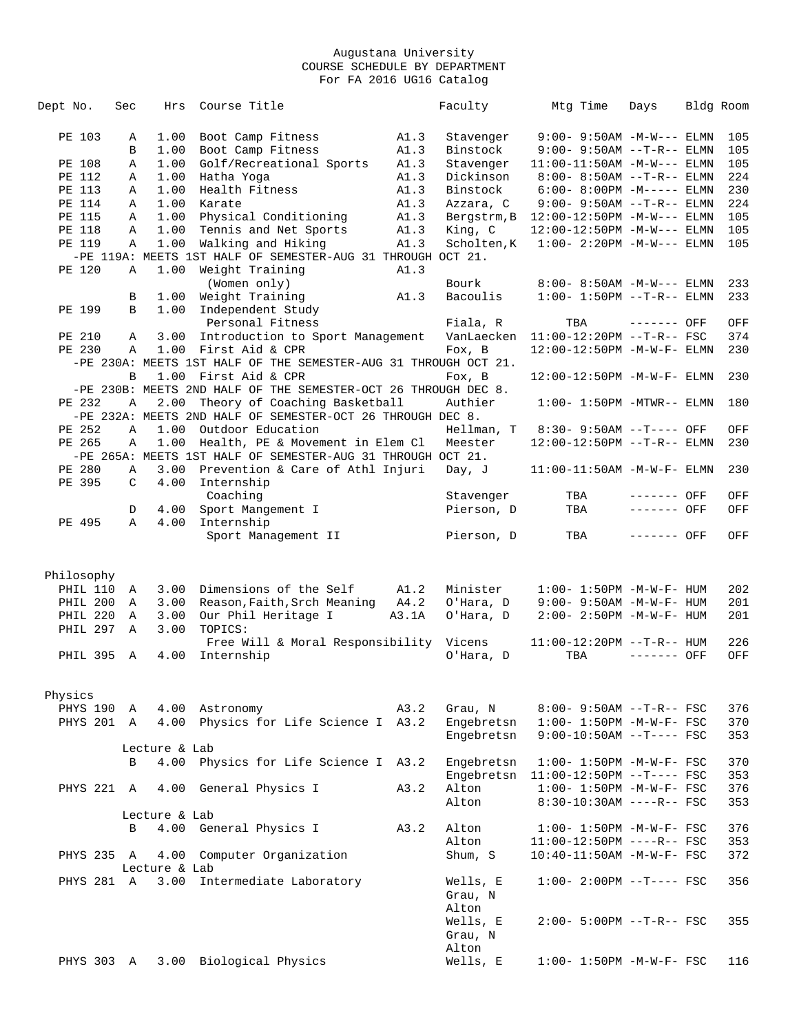| Dept No.   | Sec               | Hrs           | Course Title                                                    |       | Faculty           | Mtg Time                             | Days        | Bldg Room |     |
|------------|-------------------|---------------|-----------------------------------------------------------------|-------|-------------------|--------------------------------------|-------------|-----------|-----|
|            |                   |               |                                                                 |       |                   |                                      |             |           |     |
| PE 103     | Α                 | 1.00          | Boot Camp Fitness                                               | A1.3  | Stavenger         | $9:00 - 9:50AM -M-W---$ ELMN         |             |           | 105 |
|            | В                 | 1.00          | Boot Camp Fitness                                               | A1.3  | Binstock          | $9:00 - 9:50AM$ --T-R-- ELMN         |             |           | 105 |
| PE 108     | Α                 | 1.00          | Golf/Recreational Sports                                        | A1.3  | Stavenger         | $11:00-11:50AM -M-W---$ ELMN         |             |           | 105 |
| PE 112     | Α                 | 1.00          | Hatha Yoga                                                      | A1.3  | Dickinson         | $8:00 - 8:50AM$ --T-R-- ELMN         |             |           | 224 |
| PE 113     | Α                 | 1.00          | Health Fitness                                                  | A1.3  | Binstock          | $6:00-8:00PM -M-----$ ELMN           |             |           | 230 |
| PE 114     | Α                 | 1.00          | Karate                                                          | A1.3  | Azzara, C         | $9:00 - 9:50AM -T-R--ELMN$           |             |           | 224 |
| PE 115     | Α                 | 1.00          | Physical Conditioning                                           | A1.3  | Bergstrm, B       | $12:00-12:50PM -M-W---$ ELMN         |             |           | 105 |
| PE 118     | Α                 | 1.00          | Tennis and Net Sports                                           | A1.3  | King, C           | 12:00-12:50PM -M-W--- ELMN           |             |           | 105 |
| PE 119     | Α                 | 1.00          | Walking and Hiking                                              | A1.3  | Scholten, K       | $1:00-2:20PM -M-W---$ ELMN           |             |           | 105 |
|            |                   |               | -PE 119A: MEETS 1ST HALF OF SEMESTER-AUG 31 THROUGH OCT 21.     |       |                   |                                      |             |           |     |
| PE 120     | Α                 | 1.00          | Weight Training                                                 | A1.3  |                   |                                      |             |           |     |
|            |                   |               | (Women only)                                                    |       | Bourk             | $8:00 - 8:50AM - M - W - - -$ ELMN   |             |           | 233 |
|            | B                 |               | 1.00 Weight Training                                            | A1.3  | Bacoulis          | $1:00 - 1:50PM -T-R-- ELMN$          |             |           | 233 |
| PE 199     | B                 | 1.00          | Independent Study                                               |       |                   |                                      |             |           |     |
|            |                   |               | Personal Fitness                                                |       | Fiala, R          | TBA                                  | ------- OFF |           | OFF |
| PE 210     | Α                 | 3.00          | Introduction to Sport Management                                |       |                   | VanLaecken 11:00-12:20PM --T-R-- FSC |             |           | 374 |
| PE 230     | Α                 |               | 1.00 First Aid & CPR                                            |       | Fox, B            | 12:00-12:50PM -M-W-F- ELMN           |             |           | 230 |
|            |                   |               | -PE 230A: MEETS 1ST HALF OF THE SEMESTER-AUG 31 THROUGH OCT 21. |       |                   |                                      |             |           |     |
|            | B                 |               | 1.00 First Aid & CPR                                            |       | Fox, B            | 12:00-12:50PM -M-W-F- ELMN           |             |           | 230 |
|            |                   |               | -PE 230B: MEETS 2ND HALF OF THE SEMESTER-OCT 26 THROUGH DEC 8.  |       |                   |                                      |             |           |     |
| PE 232     | Α                 | 2.00          | Theory of Coaching Basketball                                   |       | Authier           | $1:00-1:50PM -MTWR--ELMN$            |             |           | 180 |
|            |                   |               | -PE 232A: MEETS 2ND HALF OF SEMESTER-OCT 26 THROUGH DEC 8.      |       |                   |                                      |             |           |     |
| PE 252     | Α                 | 1.00          | Outdoor Education                                               |       | Hellman, T        | 8:30- 9:50AM --T---- OFF             |             |           | OFF |
| PE 265     | Α                 | 1.00          | Health, PE & Movement in Elem Cl                                |       | Meester           | 12:00-12:50PM --T-R-- ELMN           |             |           | 230 |
|            |                   |               | -PE 265A: MEETS 1ST HALF OF SEMESTER-AUG 31 THROUGH OCT 21.     |       |                   |                                      |             |           |     |
| PE 280     | Α                 |               | 3.00 Prevention & Care of Athl Injuri                           |       | Day, J            | $11:00-11:50AM - M-W-F- ELMN$        |             |           | 230 |
| PE 395     | C                 | 4.00          | Internship                                                      |       |                   |                                      |             |           |     |
|            |                   |               | Coaching                                                        |       | Stavenger         | TBA                                  | ------- OFF |           | OFF |
|            | D<br>$\mathbb{A}$ | 4.00          | Sport Mangement I                                               |       | Pierson, D        | TBA                                  | ------- OFF |           | OFF |
| PE 495     |                   | 4.00          | Internship                                                      |       |                   |                                      | ------- OFF |           |     |
|            |                   |               | Sport Management II                                             |       | Pierson, D        | TBA                                  |             |           | OFF |
|            |                   |               |                                                                 |       |                   |                                      |             |           |     |
| Philosophy |                   |               |                                                                 |       |                   |                                      |             |           |     |
| PHIL 110   | Α                 | 3.00          | Dimensions of the Self                                          | A1.2  | Minister          | $1:00 - 1:50PM - M - W - F - HUM$    |             |           | 202 |
| PHIL 200   | A                 | 3.00          | Reason, Faith, Srch Meaning A4.2                                |       | O'Hara, D         | $9:00 - 9:50AM - M - W - F - HUM$    |             |           | 201 |
| PHIL 220   | Α                 | 3.00          | Our Phil Heritage I                                             | A3.1A | O'Hara, D         | $2:00 - 2:50PM -M-W-F- HUM$          |             |           | 201 |
| PHIL 297   | Α                 | 3.00          | TOPICS:                                                         |       |                   |                                      |             |           |     |
|            |                   |               | Free Will & Moral Responsibility Vicens                         |       |                   | 11:00-12:20PM --T-R-- HUM            |             |           | 226 |
| PHIL 395 A |                   | 4.00          | Internship                                                      |       | O'Hara, D         | TBA                                  | ------- OFF |           | OFF |
|            |                   |               |                                                                 |       |                   |                                      |             |           |     |
|            |                   |               |                                                                 |       |                   |                                      |             |           |     |
| Physics    |                   |               |                                                                 |       |                   |                                      |             |           |     |
| PHYS 190 A |                   |               | 4.00 Astronomy                                                  | A3.2  | Grau, N           | $8:00 - 9:50AM -T-R--FSC$            |             |           | 376 |
| PHYS 201 A |                   |               | 4.00 Physics for Life Science I A3.2                            |       | Engebretsn        | $1:00 - 1:50PM - M - W - F - FSC$    |             |           | 370 |
|            |                   |               |                                                                 |       | Engebretsn        | $9:00-10:50AM$ --T---- FSC           |             |           | 353 |
|            |                   | Lecture & Lab |                                                                 |       |                   |                                      |             |           |     |
|            | B                 | 4.00          | Physics for Life Science I A3.2                                 |       | Engebretsn        | $1:00 - 1:50PM - M - W - F - FSC$    |             |           | 370 |
|            |                   |               |                                                                 |       | Engebretsn        | $11:00-12:50PM$ --T---- FSC          |             |           | 353 |
| PHYS 221 A |                   |               | 4.00 General Physics I                                          | A3.2  | Alton             | $1:00 - 1:50PM - M - W - F - FSC$    |             |           | 376 |
|            |                   |               |                                                                 |       | Alton             | $8:30-10:30AM$ ----R-- FSC           |             |           | 353 |
|            |                   | Lecture & Lab |                                                                 |       |                   |                                      |             |           |     |
|            | B                 |               | 4.00 General Physics I                                          | A3.2  | Alton             | $1:00 - 1:50PM - M - W - F - FSC$    |             |           | 376 |
|            |                   |               |                                                                 |       | Alton             | $11:00-12:50PM$ ----R-- FSC          |             |           | 353 |
| PHYS 235 A |                   |               | 4.00 Computer Organization                                      |       | Shum, S           | 10:40-11:50AM -M-W-F- FSC            |             |           | 372 |
|            |                   | Lecture & Lab |                                                                 |       |                   |                                      |             |           |     |
| PHYS 281 A |                   | 3.00          | Intermediate Laboratory                                         |       | Wells, E          | $1:00-2:00PM$ --T---- FSC            |             |           | 356 |
|            |                   |               |                                                                 |       | Grau, N           |                                      |             |           |     |
|            |                   |               |                                                                 |       | Alton<br>Wells, E | $2:00 - 5:00PM -T-R--FSC$            |             |           | 355 |
|            |                   |               |                                                                 |       | Grau, N           |                                      |             |           |     |
|            |                   |               |                                                                 |       | Alton             |                                      |             |           |     |
| PHYS 303 A |                   |               | 3.00 Biological Physics                                         |       | Wells, E          | $1:00 - 1:50PM - M - W - F - FSC$    |             |           | 116 |
|            |                   |               |                                                                 |       |                   |                                      |             |           |     |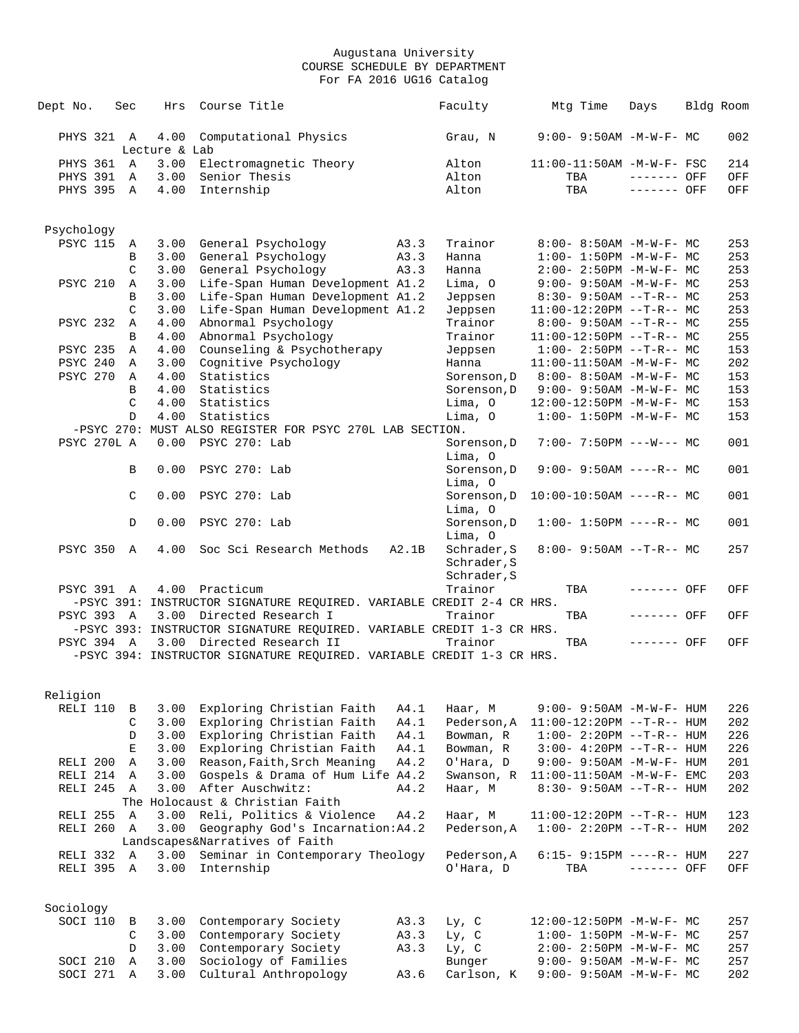| Dept No.                 | Sec               | Hrs           | Course Title                                                          |              | Faculty                | Mtg Time | Days                                                   | Bldg Room  |
|--------------------------|-------------------|---------------|-----------------------------------------------------------------------|--------------|------------------------|----------|--------------------------------------------------------|------------|
|                          |                   |               |                                                                       |              |                        |          |                                                        |            |
| PHYS 321 A               |                   | 4.00          | Computational Physics                                                 |              | Grau, N                |          | $9:00 - 9:50AM - M - W - F - MC$                       | 002        |
|                          |                   | Lecture & Lab |                                                                       |              |                        |          |                                                        |            |
| PHYS 361 A<br>PHYS 391 A |                   | 3.00<br>3.00  | Electromagnetic Theory<br>Senior Thesis                               |              | Alton<br>Alton         | TBA      | 11:00-11:50AM -M-W-F- FSC<br>------- OFF               | 214<br>OFF |
| PHYS 395 A               |                   | 4.00          | Internship                                                            |              | Alton                  | TBA      | ------- OFF                                            | OFF        |
|                          |                   |               |                                                                       |              |                        |          |                                                        |            |
|                          |                   |               |                                                                       |              |                        |          |                                                        |            |
| Psychology               |                   |               |                                                                       |              |                        |          |                                                        |            |
| <b>PSYC 115</b>          | $\mathbb{A}$<br>B | 3.00<br>3.00  | General Psychology<br>General Psychology                              | A3.3<br>A3.3 | Trainor<br>Hanna       |          | 8:00- 8:50AM -M-W-F- MC<br>$1:00 - 1:50PM -M-W-F - MC$ | 253<br>253 |
|                          | C                 | 3.00          | General Psychology                                                    | A3.3         | Hanna                  |          | $2:00-2:50PM -M-W-F-MC$                                | 253        |
| <b>PSYC 210</b>          | Α                 | 3.00          | Life-Span Human Development A1.2                                      |              | Lima, O                |          | $9:00 - 9:50AM - M-W-F - MC$                           | 253        |
|                          | B                 | 3.00          | Life-Span Human Development A1.2                                      |              | Jeppsen                |          | $8:30 - 9:50AM -T-R-- MC$                              | 253        |
|                          | $\mathcal{C}$     | 3.00          | Life-Span Human Development A1.2                                      |              | Jeppsen                |          | $11:00-12:20PM$ --T-R-- MC                             | 253        |
| <b>PSYC 232</b>          | Α                 | 4.00          | Abnormal Psychology                                                   |              | Trainor                |          | $8:00-9:50AM --T-R--MC$                                | 255        |
|                          | B                 | 4.00          | Abnormal Psychology                                                   |              | Trainor                |          | $11:00-12:50PM$ --T-R-- MC                             | 255        |
| <b>PSYC 235</b>          | Α                 | 4.00          | Counseling & Psychotherapy                                            |              | Jeppsen                |          | $1:00-2:50PM -T-R--MC$                                 | 153        |
| PSYC 240                 | Α                 | 3.00          | Cognitive Psychology                                                  |              | Hanna                  |          | 11:00-11:50AM -M-W-F- MC                               | 202        |
| PSYC 270                 | Α                 | 4.00          | Statistics                                                            |              | Sorenson, D            |          | 8:00- 8:50AM -M-W-F- MC                                | 153        |
|                          | B                 | 4.00          | Statistics                                                            |              | Sorenson, D            |          | $9:00 - 9:50AM - M-W-F - MC$                           | 153        |
|                          | C                 | 4.00          | Statistics                                                            |              | Lima, O                |          | 12:00-12:50PM -M-W-F- MC                               | 153        |
|                          | D                 | 4.00          | Statistics                                                            |              | Lima, O                |          | $1:00 - 1:50PM -M-W-F-MC$                              | 153        |
|                          |                   |               | -PSYC 270: MUST ALSO REGISTER FOR PSYC 270L LAB SECTION.              |              |                        |          |                                                        |            |
| PSYC 270L A              |                   | 0.00          | PSYC 270: Lab                                                         |              | Sorenson, D            |          | $7:00 - 7:50PM$ ---W--- MC                             | 001        |
|                          | B                 | 0.00          | PSYC 270: Lab                                                         |              | Lima, O<br>Sorenson, D |          | $9:00 - 9:50AM$ ----R-- MC                             | 001        |
|                          |                   |               |                                                                       |              | Lima, O                |          |                                                        |            |
|                          | C                 | 0.00          | PSYC 270: Lab                                                         |              | Sorenson, D            |          | $10:00-10:50AM$ ----R-- MC                             | 001        |
|                          |                   |               |                                                                       |              | Lima, O                |          |                                                        |            |
|                          | D                 | 0.00          | PSYC 270: Lab                                                         |              | Sorenson, D<br>Lima, O |          | $1:00 - 1:50PM$ ----R-- MC                             | 001        |
| <b>PSYC 350</b>          | A                 | 4.00          | Soc Sci Research Methods                                              | A2.1B        | Schrader, S            |          | $8:00 - 9:50AM -T-R-- MC$                              | 257        |
|                          |                   |               |                                                                       |              | Schrader, S            |          |                                                        |            |
|                          |                   |               |                                                                       |              | Schrader, S            |          |                                                        |            |
| PSYC 391 A               |                   |               | 4.00 Practicum                                                        |              | Trainor                | TBA      | ------- OFF                                            | OFF        |
|                          |                   |               | -PSYC 391: INSTRUCTOR SIGNATURE REQUIRED. VARIABLE CREDIT 2-4 CR HRS. |              |                        |          |                                                        |            |
| PSYC 393 A               |                   |               | 3.00 Directed Research I                                              |              | Trainor                | TBA      | ------- OFF                                            | OFF        |
|                          |                   |               | -PSYC 393: INSTRUCTOR SIGNATURE REQUIRED. VARIABLE CREDIT 1-3 CR HRS. |              |                        |          |                                                        |            |
| PSYC 394 A               |                   |               | 3.00 Directed Research II                                             |              | Trainor                | TBA      | ------- OFF                                            | OFF        |
|                          |                   |               | -PSYC 394: INSTRUCTOR SIGNATURE REQUIRED. VARIABLE CREDIT 1-3 CR HRS. |              |                        |          |                                                        |            |
|                          |                   |               |                                                                       |              |                        |          |                                                        |            |
| Religion                 |                   |               |                                                                       |              |                        |          |                                                        |            |
| RELI 110                 | В                 | 3.00          | Exploring Christian Faith                                             | A4.1         | Haar, M                |          | 9:00- 9:50AM -M-W-F- HUM                               | 226        |
|                          | C                 | 3.00          | Exploring Christian Faith                                             | A4.1         | Pederson, A            |          | $11:00-12:20PM$ --T-R-- HUM                            | 202        |
|                          | D                 | 3.00          | Exploring Christian Faith                                             | A4.1         | Bowman, R              |          | $1:00 - 2:20PM -T-R--HUM$                              | 226        |
|                          | $\mathbf E$       | 3.00          | Exploring Christian Faith                                             | A4.1         | Bowman, R              |          | $3:00 - 4:20PM -T-R--HUM$                              | 226        |
| RELI 200<br>RELI 214     | $\mathbb A$       | 3.00          | Reason, Faith, Srch Meaning                                           | A4.2         | O'Hara, D              |          | 9:00- 9:50AM -M-W-F- HUM                               | 201        |
|                          | Α                 | 3.00<br>3.00  | Gospels & Drama of Hum Life A4.2<br>After Auschwitz:                  | A4.2         | Swanson, R             |          | $11:00-11:50AM$ -M-W-F- EMC                            | 203        |
| RELI 245 A               |                   |               | The Holocaust & Christian Faith                                       |              | Haar, M                |          | 8:30- 9:50AM --T-R-- HUM                               | 202        |
| RELI 255                 | $\mathbb{A}$      | 3.00          | Reli, Politics & Violence                                             | A4.2         | Haar, M                |          | $11:00-12:20PM -T-R--HUM$                              | 123        |
| RELI 260 A               |                   | 3.00          | Geography God's Incarnation: A4.2                                     |              | Pederson, A            |          | $1:00 - 2:20PM -T-R--HUM$                              | 202        |
|                          |                   |               | Landscapes&Narratives of Faith                                        |              |                        |          |                                                        |            |
| RELI 332                 | A                 | 3.00          | Seminar in Contemporary Theology                                      |              | Pederson, A            |          | $6:15-9:15PM$ ----R-- HUM                              | 227        |
| RELI 395                 | Α                 | 3.00          | Internship                                                            |              | O'Hara, D              | TBA      | ------- OFF                                            | OFF        |
|                          |                   |               |                                                                       |              |                        |          |                                                        |            |
| Sociology                |                   |               |                                                                       |              |                        |          |                                                        |            |
| SOCI 110                 | В                 | 3.00          | Contemporary Society                                                  | A3.3         | $Ly$ , $C$             |          | 12:00-12:50PM -M-W-F- MC                               | 257        |
|                          | C                 | 3.00          | Contemporary Society                                                  | A3.3         | $Ly$ , $C$             |          | $1:00 - 1:50PM - M - W - F - MC$                       | 257        |
|                          | D                 | 3.00          | Contemporary Society                                                  | A3.3         | Ly, C                  |          | $2:00 - 2:50PM -M-W-F - MC$                            | 257        |
| SOCI 210                 | Α                 | 3.00          | Sociology of Families                                                 |              | Bunger                 |          | $9:00 - 9:50AM - M - W - F - MC$                       | 257        |
| SOCI 271                 | Α                 | 3.00          | Cultural Anthropology                                                 | A3.6         | Carlson, K             |          | 9:00- 9:50AM -M-W-F- MC                                | 202        |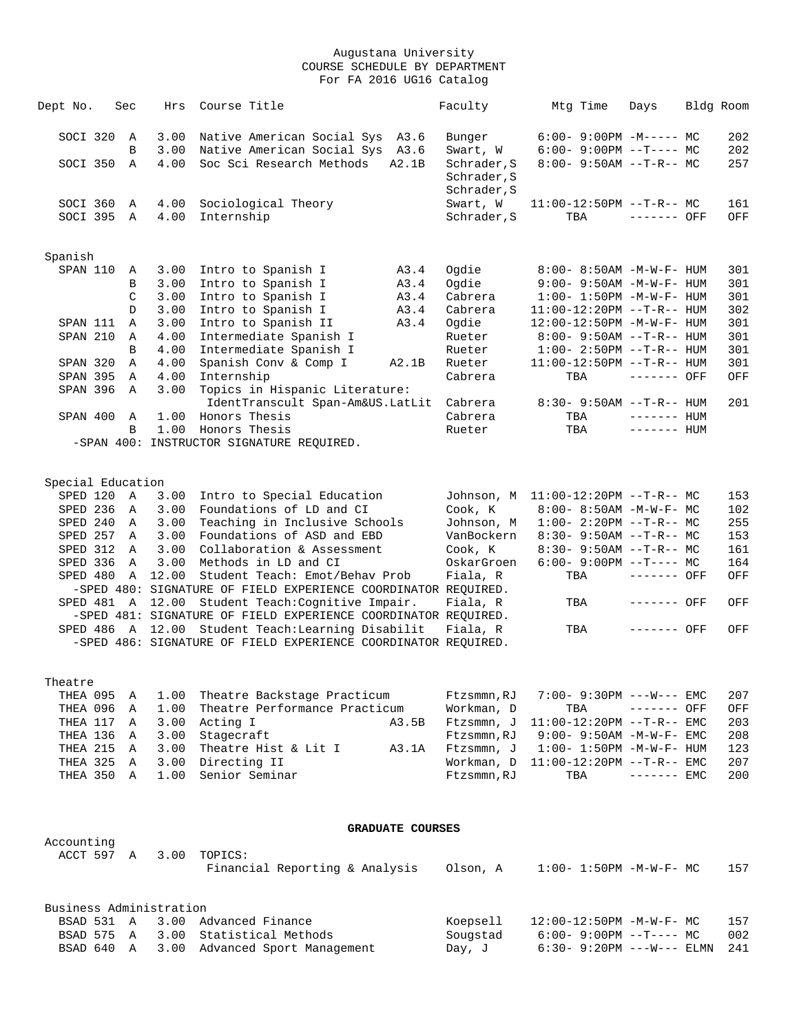| Dept No.             | Sec           | Hrs                     | Course Title                                                   |                         | Faculty     | Mtg Time                          | Days         | Bldg Room |
|----------------------|---------------|-------------------------|----------------------------------------------------------------|-------------------------|-------------|-----------------------------------|--------------|-----------|
| SOCI 320             | A             | 3.00                    | Native American Social Sys A3.6                                |                         | Bunger      | $6:00 - 9:00PM -M--- - M$         |              | 202       |
|                      | B             | 3.00                    | Native American Social Sys A3.6                                |                         | Swart, W    | $6:00-9:00PM --T---MC$            |              | 202       |
| SOCI 350             | $\mathbb{A}$  | 4.00                    | Soc Sci Research Methods                                       | A2.1B                   | Schrader, S | $8:00 - 9:50AM -T-R-- MC$         |              | 257       |
|                      |               |                         |                                                                |                         | Schrader, S |                                   |              |           |
|                      |               |                         |                                                                |                         | Schrader, S |                                   |              |           |
| SOCI 360             | Α             | 4.00                    | Sociological Theory                                            |                         | Swart, W    | $11:00-12:50PM$ --T-R-- MC        |              | 161       |
| SOCI 395             | Α             | 4.00                    | Internship                                                     |                         | Schrader, S | TBA                               | ------- OFF  | OFF       |
|                      |               |                         |                                                                |                         |             |                                   |              |           |
| Spanish              |               |                         |                                                                |                         |             |                                   |              |           |
| SPAN 110             | Α             | 3.00                    | Intro to Spanish I                                             | A3.4                    | Ogdie       | 8:00- 8:50AM -M-W-F- HUM          |              | 301       |
|                      | B             | 3.00                    | Intro to Spanish I                                             | A3.4                    | Ogdie       | $9:00 - 9:50AM - M - W - F - HUM$ |              | 301       |
|                      | $\mathcal{C}$ | 3.00                    | Intro to Spanish I                                             | A3.4                    | Cabrera     | $1:00 - 1:50PM - M - W - F - HUM$ |              | 301       |
|                      | D             | 3.00                    | Intro to Spanish I                                             | A3.4                    | Cabrera     | $11:00-12:20PM$ --T-R-- HUM       |              | 302       |
| SPAN 111             | Α             | 3.00                    | Intro to Spanish II                                            | A3.4                    | Oqdie       | 12:00-12:50PM -M-W-F- HUM         |              | 301       |
| SPAN 210             | Α             | 4.00                    | Intermediate Spanish I                                         |                         | Rueter      | $8:00 - 9:50AM -T-R-- HUM$        |              | 301       |
|                      | B             | 4.00                    | Intermediate Spanish I                                         |                         | Rueter      | $1:00 - 2:50PM -T-R--HUM$         |              | 301       |
| SPAN 320             | Α             | 4.00                    | Spanish Conv & Comp I                                          | A2.1B                   | Rueter      | $11:00-12:50PM$ --T-R-- HUM       |              | 301       |
| SPAN 395             | Α             | 4.00                    | Internship                                                     |                         | Cabrera     | TBA                               | $------$ OFF | OFF       |
| SPAN 396             | Α             | 3.00                    | Topics in Hispanic Literature:                                 |                         |             |                                   |              |           |
|                      |               |                         | IdentTranscult Span-Am&US.LatLit                               |                         | Cabrera     | 8:30- 9:50AM --T-R-- HUM          |              | 201       |
| SPAN 400             | A             | 1.00                    | Honors Thesis                                                  |                         | Cabrera     | TBA                               | $------HH$   |           |
|                      | B             | 1.00                    | Honors Thesis                                                  |                         | Rueter      | TBA                               | $------$ HUM |           |
|                      |               |                         | -SPAN 400: INSTRUCTOR SIGNATURE REQUIRED.                      |                         |             |                                   |              |           |
|                      |               |                         |                                                                |                         |             |                                   |              |           |
| Special Education    |               |                         |                                                                |                         |             |                                   |              |           |
| SPED 120 A           |               | 3.00                    | Intro to Special Education                                     |                         | Johnson, M  | $11:00-12:20PM$ --T-R-- MC        |              | 153       |
| SPED 236             | A             | 3.00                    | Foundations of LD and CI                                       |                         | Cook, K     | $8:00 - 8:50AM - M - W - F - MC$  |              | 102       |
| SPED 240 A           |               | 3.00                    | Teaching in Inclusive Schools                                  |                         | Johnson, M  | $1:00-2:20PM -T-R--MC$            |              | 255       |
| SPED 257             | Α             | 3.00                    | Foundations of ASD and EBD                                     |                         | VanBockern  | $8:30 - 9:50AM -T-R-- MC$         |              | 153       |
| SPED 312             | A             | 3.00                    | Collaboration & Assessment                                     |                         | Cook, K     | $8:30 - 9:50AM -T-R-- MC$         |              | 161       |
| SPED 336             | Α             | 3.00                    | Methods in LD and CI                                           |                         | OskarGroen  | $6:00-9:00PM$ --T---- MC          |              | 164       |
| SPED 480             | $\mathbb A$   | 12.00                   | Student Teach: Emot/Behav Prob                                 |                         | Fiala, R    | TBA                               | ------- OFF  | OFF       |
|                      |               |                         | -SPED 480: SIGNATURE OF FIELD EXPERIENCE COORDINATOR REQUIRED. |                         |             |                                   |              |           |
|                      |               | SPED 481 A 12.00        | Student Teach: Cognitive Impair.                               |                         | Fiala, R    | TBA                               | ------- OFF  | OFF       |
|                      |               |                         | -SPED 481: SIGNATURE OF FIELD EXPERIENCE COORDINATOR REQUIRED. |                         |             |                                   |              |           |
|                      |               | SPED 486 A 12.00        | Student Teach:Learning Disabilit                               |                         | Fiala, R    | TBA                               | ------- OFF  | OFF       |
|                      |               |                         | -SPED 486: SIGNATURE OF FIELD EXPERIENCE COORDINATOR REQUIRED. |                         |             |                                   |              |           |
|                      |               |                         |                                                                |                         |             |                                   |              |           |
| Theatre              |               |                         |                                                                |                         |             |                                   |              |           |
| THEA 095<br>THEA 096 | Α             | 1.00                    | Theatre Backstage Practicum                                    |                         | Ftzsmmn, RJ | 7:00- 9:30PM ---W--- EMC          |              | 207       |
|                      | Α             | 1.00                    | Theatre Performance Practicum                                  |                         | Workman, D  | TBA<br>11:00-12:20PM --T-R-- EMC  | ------- OFF  | OFF       |
| THEA 117             | Α             | 3.00                    | Acting I                                                       | A3.5B                   | Ftzsmmn, J  |                                   |              | 203       |
| THEA 136 A           |               | 3.00                    | Stagecraft                                                     |                         | Ftzsmmn, RJ | $9:00 - 9:50AM - M - W - F - EMC$ |              | 208       |
| THEA 215 A           |               | 3.00                    | Theatre Hist & Lit I                                           | A3.1A                   | Ftzsmmn, J  | $1:00 - 1:50PM - M - W - F - HUM$ |              | 123       |
| THEA 325 A           |               | 3.00                    | Directing II<br>Senior Seminar                                 |                         | Workman, D  | $11:00-12:20PM -T-R--EMC$         |              | 207       |
| THEA 350 A           |               | 1.00                    |                                                                |                         | Ftzsmmn, RJ | TBA                               | $-----$ EMC  | 200       |
|                      |               |                         |                                                                |                         |             |                                   |              |           |
|                      |               |                         |                                                                | <b>GRADUATE COURSES</b> |             |                                   |              |           |
| Accounting           |               |                         |                                                                |                         |             |                                   |              |           |
| ACCT 597 A           |               | 3.00                    | TOPICS:                                                        |                         |             |                                   |              |           |
|                      |               |                         | Financial Reporting & Analysis                                 |                         | Olson, A    | $1:00 - 1:50PM - M - W - F - MC$  |              | 157       |
|                      |               |                         |                                                                |                         |             |                                   |              |           |
| BSAD 531 A           |               | Business Administration | 3.00 Advanced Finance                                          |                         | Koepsell    | 12:00-12:50PM -M-W-F- MC          |              | 157       |
|                      |               |                         |                                                                |                         |             |                                   |              |           |

 BSAD 575 A 3.00 Statistical Methods Sougstad 6:00- 9:00PM --T---- MC 002 BSAD 640 A 3.00 Advanced Sport Management Day, J 6:30- 9:20PM ---W--- ELMN 241